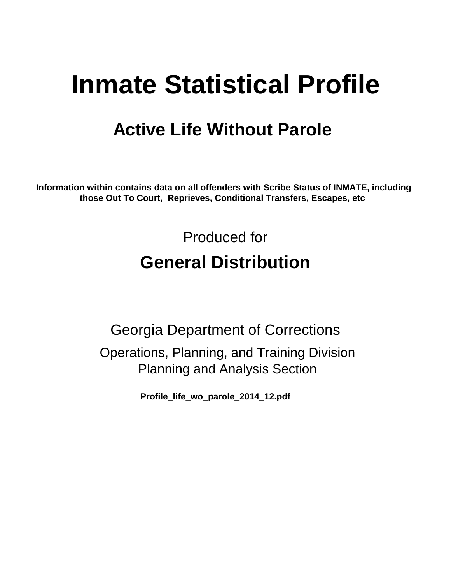# **Inmate Statistical Profile**

# **Active Life Without Parole**

**Information within contains data on all offenders with Scribe Status of INMATE, including those Out To Court, Reprieves, Conditional Transfers, Escapes, etc** 

> Produced for **General Distribution**

Georgia Department of Corrections Operations, Planning, and Training Division Planning and Analysis Section

**Profile\_life\_wo\_parole\_2014\_12.pdf**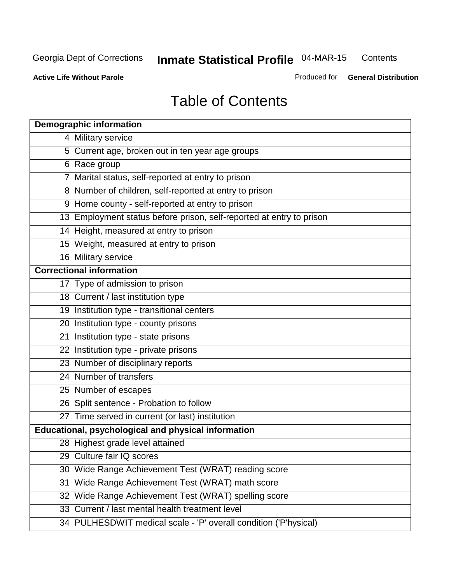**Contents** 

**Active Life Without Parole** 

Produced for **General Distribution**

# Table of Contents

| <b>Demographic information</b>                                       |
|----------------------------------------------------------------------|
| 4 Military service                                                   |
| 5 Current age, broken out in ten year age groups                     |
| 6 Race group                                                         |
| 7 Marital status, self-reported at entry to prison                   |
| 8 Number of children, self-reported at entry to prison               |
| 9 Home county - self-reported at entry to prison                     |
| 13 Employment status before prison, self-reported at entry to prison |
| 14 Height, measured at entry to prison                               |
| 15 Weight, measured at entry to prison                               |
| 16 Military service                                                  |
| <b>Correctional information</b>                                      |
| 17 Type of admission to prison                                       |
| 18 Current / last institution type                                   |
| 19 Institution type - transitional centers                           |
| 20 Institution type - county prisons                                 |
| 21 Institution type - state prisons                                  |
| 22 Institution type - private prisons                                |
| 23 Number of disciplinary reports                                    |
| 24 Number of transfers                                               |
| 25 Number of escapes                                                 |
| 26 Split sentence - Probation to follow                              |
| 27 Time served in current (or last) institution                      |
| <b>Educational, psychological and physical information</b>           |
| 28 Highest grade level attained                                      |
| 29 Culture fair IQ scores                                            |
| 30 Wide Range Achievement Test (WRAT) reading score                  |
| 31 Wide Range Achievement Test (WRAT) math score                     |
| 32 Wide Range Achievement Test (WRAT) spelling score                 |
| 33 Current / last mental health treatment level                      |
| 34 PULHESDWIT medical scale - 'P' overall condition ('P'hysical)     |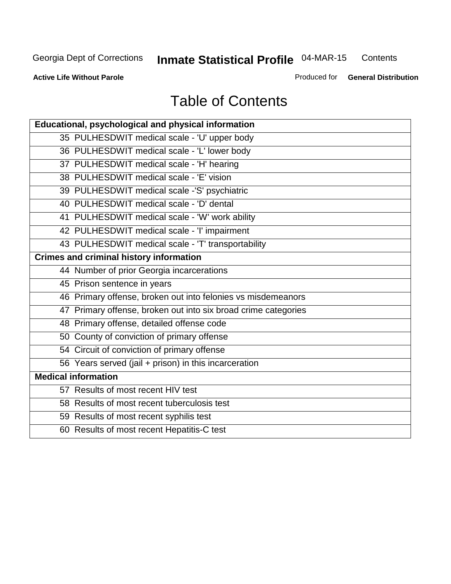**Contents** 

**Active Life Without Parole** 

Produced for **General Distribution**

# Table of Contents

| <b>Educational, psychological and physical information</b>     |
|----------------------------------------------------------------|
| 35 PULHESDWIT medical scale - 'U' upper body                   |
| 36 PULHESDWIT medical scale - 'L' lower body                   |
| 37 PULHESDWIT medical scale - 'H' hearing                      |
| 38 PULHESDWIT medical scale - 'E' vision                       |
| 39 PULHESDWIT medical scale -'S' psychiatric                   |
| 40 PULHESDWIT medical scale - 'D' dental                       |
| 41 PULHESDWIT medical scale - 'W' work ability                 |
| 42 PULHESDWIT medical scale - 'I' impairment                   |
| 43 PULHESDWIT medical scale - 'T' transportability             |
| <b>Crimes and criminal history information</b>                 |
| 44 Number of prior Georgia incarcerations                      |
| 45 Prison sentence in years                                    |
| 46 Primary offense, broken out into felonies vs misdemeanors   |
| 47 Primary offense, broken out into six broad crime categories |
| 48 Primary offense, detailed offense code                      |
| 50 County of conviction of primary offense                     |
| 54 Circuit of conviction of primary offense                    |
| 56 Years served (jail + prison) in this incarceration          |
| <b>Medical information</b>                                     |
| 57 Results of most recent HIV test                             |
| 58 Results of most recent tuberculosis test                    |
| 59 Results of most recent syphilis test                        |
| 60 Results of most recent Hepatitis-C test                     |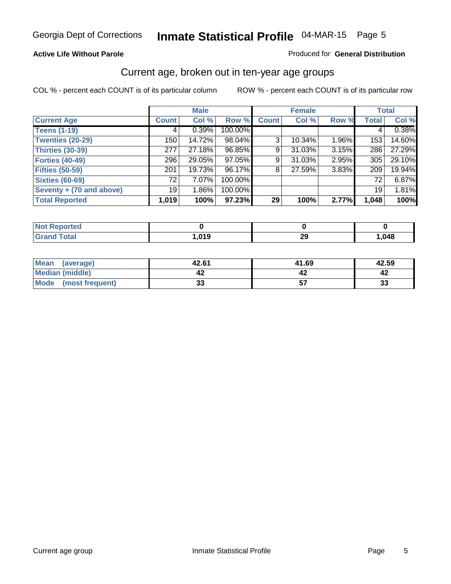#### **Active Life Without Parole**

#### Produced for **General Distribution**

### Current age, broken out in ten-year age groups

|                          | <b>Male</b>     |          | <b>Female</b> |              |        | <b>Total</b> |                 |        |
|--------------------------|-----------------|----------|---------------|--------------|--------|--------------|-----------------|--------|
| <b>Current Age</b>       | <b>Count</b>    | Col %    | Row %         | <b>Count</b> | Col %  | Row %        | <b>Total</b>    | Col %  |
| <b>Teens (1-19)</b>      | 4               | 0.39%    | 100.00%       |              |        |              | 4               | 0.38%  |
| <b>Twenties (20-29)</b>  | 150             | 14.72%   | 98.04%        | 3            | 10.34% | 1.96%        | 153             | 14.60% |
| <b>Thirties (30-39)</b>  | 277             | 27.18%   | 96.85%        | 9            | 31.03% | 3.15%        | 286             | 27.29% |
| <b>Forties (40-49)</b>   | 296             | 29.05%   | 97.05%        | 9            | 31.03% | $2.95\%$     | 305             | 29.10% |
| <b>Fifties (50-59)</b>   | 201             | 19.73%   | 96.17%        | 8            | 27.59% | 3.83%        | 209             | 19.94% |
| <b>Sixties (60-69)</b>   | 72              | $7.07\%$ | 100.00%       |              |        |              | 72              | 6.87%  |
| Seventy + (70 and above) | 19 <sup>1</sup> | $1.86\%$ | 100.00%       |              |        |              | 19 <sup>1</sup> | 1.81%  |
| <b>Total Reported</b>    | 1,019           | 100%     | 97.23%        | 29           | 100%   | 2.77%        | 1,048           | 100%   |

| Not $Re$<br><b>Reported</b> |        |    |      |
|-----------------------------|--------|----|------|
| <b>Total</b><br>Cror        | 019. ا | 29 | ,048 |

| Mean<br>(average)       | 42.61  | 41.69 | 42.59 |
|-------------------------|--------|-------|-------|
| Median (middle)         |        |       | 44    |
| Mode<br>(most frequent) | <br>vu |       | 33    |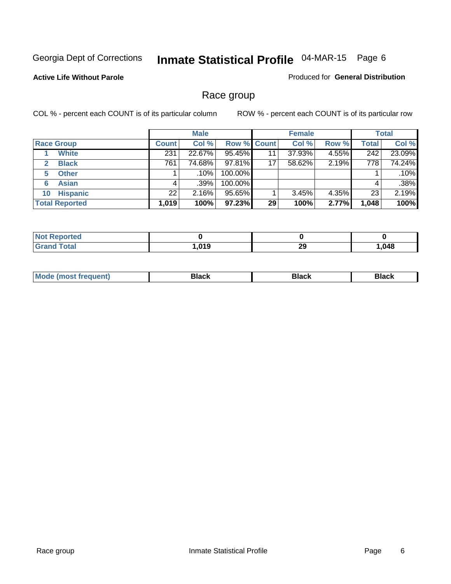#### **Active Life Without Parole**

Produced for **General Distribution**

### Race group

|                       | <b>Male</b>  |        |                    | <b>Female</b> |        |       | <b>Total</b> |        |
|-----------------------|--------------|--------|--------------------|---------------|--------|-------|--------------|--------|
| <b>Race Group</b>     | <b>Count</b> | Col %  | <b>Row % Count</b> |               | Col %  | Row % | <b>Total</b> | Col %  |
| <b>White</b>          | 231          | 22.67% | 95.45%             | 11            | 37.93% | 4.55% | 242          | 23.09% |
| <b>Black</b><br>2     | 761          | 74.68% | 97.81%             | 17            | 58.62% | 2.19% | 778          | 74.24% |
| <b>Other</b><br>5     |              | .10%   | 100.00%            |               |        |       |              | .10%   |
| <b>Asian</b><br>6     |              | .39%   | 100.00%            |               |        |       | 4            | .38%   |
| <b>Hispanic</b><br>10 | 22           | 2.16%  | 95.65%             |               | 3.45%  | 4.35% | 23           | 2.19%  |
| <b>Total Reported</b> | 1,019        | 100%   | 97.23%             | 29            | 100%   | 2.77% | 1,048        | 100%   |

| วrted |      |           |        |
|-------|------|-----------|--------|
| Total | ,019 | or.<br>73 | 048, ا |

| M |  |
|---|--|
|   |  |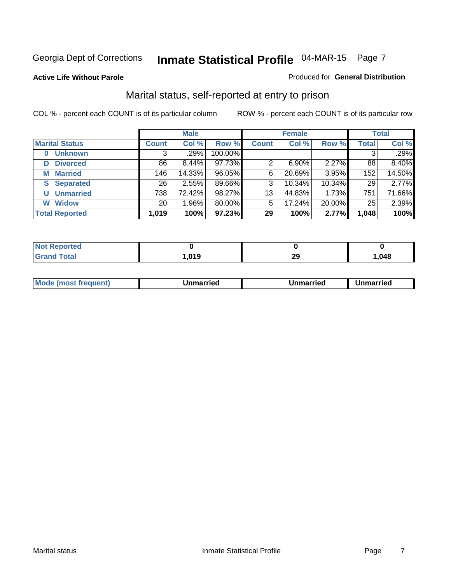#### **Active Life Without Parole**

#### Produced for **General Distribution**

### Marital status, self-reported at entry to prison

|                        |              | <b>Male</b> |         |              | <b>Female</b> |        |              | <b>Total</b> |
|------------------------|--------------|-------------|---------|--------------|---------------|--------|--------------|--------------|
| <b>Marital Status</b>  | <b>Count</b> | Col %       | Row %   | <b>Count</b> | Col %         | Row %  | <b>Total</b> | Col %        |
| <b>Unknown</b>         | 3            | .29%        | 100.00% |              |               |        | 3            | .29%         |
| <b>Divorced</b><br>D   | 86           | $8.44\%$    | 97.73%  | 2            | 6.90%         | 2.27%  | 88           | 8.40%        |
| <b>Married</b><br>М    | 146          | 14.33%      | 96.05%  | 6            | 20.69%        | 3.95%  | 152          | 14.50%       |
| <b>Separated</b><br>S. | 26           | 2.55%       | 89.66%  | 3            | 10.34%        | 10.34% | 29           | 2.77%        |
| <b>Unmarried</b><br>U  | 738          | 72.42%      | 98.27%  | 13           | 44.83%        | 1.73%  | 751          | 71.66%       |
| <b>Widow</b><br>W      | 20           | 1.96%       | 80.00%  | 5            | 17.24%        | 20.00% | 25           | 2.39%        |
| <b>Total Reported</b>  | 1,019        | 100%        | 97.23%  | 29           | 100%          | 2.77%  | 1,048        | 100%         |

| $\sim$ 40 | 0.01C<br> | nr.<br>~~ | .048 |
|-----------|-----------|-----------|------|

|  | Mode<br>(most frequent) | Jnmarried | Unmarried | Jnmarried |
|--|-------------------------|-----------|-----------|-----------|
|--|-------------------------|-----------|-----------|-----------|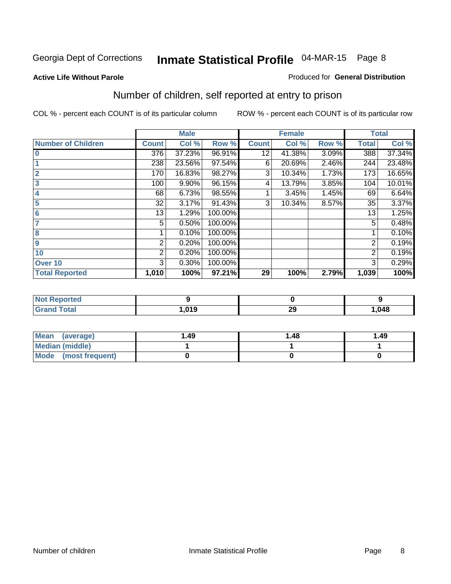#### **Active Life Without Parole**

#### Produced for **General Distribution**

### Number of children, self reported at entry to prison

|                           |              | <b>Male</b> |         |              | <b>Female</b> |       |              | <b>Total</b> |
|---------------------------|--------------|-------------|---------|--------------|---------------|-------|--------------|--------------|
| <b>Number of Children</b> | <b>Count</b> | Col %       | Row %   | <b>Count</b> | Col %         | Row % | <b>Total</b> | Col %        |
| $\bf{0}$                  | 376          | 37.23%      | 96.91%  | 12           | 41.38%        | 3.09% | 388          | 37.34%       |
|                           | 238          | 23.56%      | 97.54%  | 6            | 20.69%        | 2.46% | 244          | 23.48%       |
| $\overline{2}$            | 170          | 16.83%      | 98.27%  | 3            | 10.34%        | 1.73% | 173          | 16.65%       |
| 3                         | 100          | 9.90%       | 96.15%  | 4            | 13.79%        | 3.85% | 104          | 10.01%       |
| 4                         | 68           | 6.73%       | 98.55%  |              | 3.45%         | 1.45% | 69           | 6.64%        |
| 5                         | 32           | 3.17%       | 91.43%  | 3            | 10.34%        | 8.57% | 35           | 3.37%        |
| $6\phantom{a}$            | 13           | 1.29%       | 100.00% |              |               |       | 13           | 1.25%        |
| 7                         | 5            | 0.50%       | 100.00% |              |               |       | 5            | 0.48%        |
| 8                         |              | 0.10%       | 100.00% |              |               |       |              | 0.10%        |
| 9                         | 2            | 0.20%       | 100.00% |              |               |       | 2            | 0.19%        |
| 10                        | 2            | 0.20%       | 100.00% |              |               |       | 2            | 0.19%        |
| Over 10                   | 3            | 0.30%       | 100.00% |              |               |       | 3            | 0.29%        |
| <b>Total Reported</b>     | 1,010        | 100%        | 97.21%  | 29           | 100%          | 2.79% | 1,039        | 100%         |

| <b>Porteu</b> |      |           |      |
|---------------|------|-----------|------|
| <b>otal</b>   | ,019 | or.<br>20 | ,048 |

| Mean<br>(average)       | 1.49 | 1.48 | 1.49 |
|-------------------------|------|------|------|
| Median (middle)         |      |      |      |
| Mode<br>(most frequent) |      |      |      |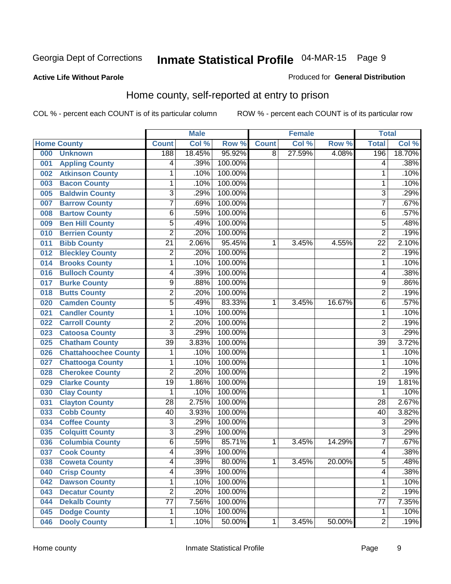#### **Active Life Without Parole**

#### Produced for **General Distribution**

### Home county, self-reported at entry to prison

|     |                             |                 | <b>Male</b> |         |              | <b>Female</b> |        | <b>Total</b>    |        |
|-----|-----------------------------|-----------------|-------------|---------|--------------|---------------|--------|-----------------|--------|
|     | <b>Home County</b>          | <b>Count</b>    | Col %       | Row %   | <b>Count</b> | Col %         | Row %  | <b>Total</b>    | Col %  |
| 000 | <b>Unknown</b>              | 188             | 18.45%      | 95.92%  | 8            | 27.59%        | 4.08%  | 196             | 18.70% |
| 001 | <b>Appling County</b>       | 4               | .39%        | 100.00% |              |               |        | 4               | .38%   |
| 002 | <b>Atkinson County</b>      | 1               | .10%        | 100.00% |              |               |        | 1               | .10%   |
| 003 | <b>Bacon County</b>         | 1               | .10%        | 100.00% |              |               |        | 1               | .10%   |
| 005 | <b>Baldwin County</b>       | 3               | .29%        | 100.00% |              |               |        | 3               | .29%   |
| 007 | <b>Barrow County</b>        | $\overline{7}$  | .69%        | 100.00% |              |               |        | $\overline{7}$  | .67%   |
| 008 | <b>Bartow County</b>        | $\overline{6}$  | .59%        | 100.00% |              |               |        | 6               | .57%   |
| 009 | <b>Ben Hill County</b>      | $\overline{5}$  | .49%        | 100.00% |              |               |        | 5               | .48%   |
| 010 | <b>Berrien County</b>       | 2               | .20%        | 100.00% |              |               |        | 2               | .19%   |
| 011 | <b>Bibb County</b>          | $\overline{21}$ | 2.06%       | 95.45%  | 1            | 3.45%         | 4.55%  | $\overline{22}$ | 2.10%  |
| 012 | <b>Bleckley County</b>      | $\overline{c}$  | .20%        | 100.00% |              |               |        | $\overline{2}$  | .19%   |
| 014 | <b>Brooks County</b>        | 1               | .10%        | 100.00% |              |               |        | 1               | .10%   |
| 016 | <b>Bulloch County</b>       | 4               | .39%        | 100.00% |              |               |        | 4               | .38%   |
| 017 | <b>Burke County</b>         | $\overline{9}$  | .88%        | 100.00% |              |               |        | 9               | .86%   |
| 018 | <b>Butts County</b>         | $\overline{2}$  | .20%        | 100.00% |              |               |        | $\overline{2}$  | .19%   |
| 020 | <b>Camden County</b>        | 5               | .49%        | 83.33%  | 1            | 3.45%         | 16.67% | 6               | .57%   |
| 021 | <b>Candler County</b>       | 1               | .10%        | 100.00% |              |               |        | 1               | .10%   |
| 022 | <b>Carroll County</b>       | $\overline{2}$  | .20%        | 100.00% |              |               |        | $\overline{2}$  | .19%   |
| 023 | <b>Catoosa County</b>       | $\overline{3}$  | .29%        | 100.00% |              |               |        | $\overline{3}$  | .29%   |
| 025 | <b>Chatham County</b>       | $\overline{39}$ | 3.83%       | 100.00% |              |               |        | $\overline{39}$ | 3.72%  |
| 026 | <b>Chattahoochee County</b> | 1               | .10%        | 100.00% |              |               |        | 1               | .10%   |
| 027 | <b>Chattooga County</b>     | 1               | .10%        | 100.00% |              |               |        | 1               | .10%   |
| 028 | <b>Cherokee County</b>      | $\overline{2}$  | .20%        | 100.00% |              |               |        | $\overline{2}$  | .19%   |
| 029 | <b>Clarke County</b>        | $\overline{19}$ | 1.86%       | 100.00% |              |               |        | $\overline{19}$ | 1.81%  |
| 030 | <b>Clay County</b>          | 1               | .10%        | 100.00% |              |               |        | 1               | .10%   |
| 031 | <b>Clayton County</b>       | $\overline{28}$ | 2.75%       | 100.00% |              |               |        | $\overline{28}$ | 2.67%  |
| 033 | <b>Cobb County</b>          | 40              | 3.93%       | 100.00% |              |               |        | $\overline{40}$ | 3.82%  |
| 034 | <b>Coffee County</b>        | $\overline{3}$  | .29%        | 100.00% |              |               |        | 3               | .29%   |
| 035 | <b>Colquitt County</b>      | $\overline{3}$  | .29%        | 100.00% |              |               |        | $\overline{3}$  | .29%   |
| 036 | <b>Columbia County</b>      | $\overline{6}$  | .59%        | 85.71%  | 1            | 3.45%         | 14.29% | $\overline{7}$  | .67%   |
| 037 | <b>Cook County</b>          | 4               | .39%        | 100.00% |              |               |        | 4               | .38%   |
| 038 | <b>Coweta County</b>        | 4               | .39%        | 80.00%  | 1            | 3.45%         | 20.00% | 5               | .48%   |
| 040 | <b>Crisp County</b>         | 4               | .39%        | 100.00% |              |               |        | 4               | .38%   |
| 042 | <b>Dawson County</b>        | 1               | .10%        | 100.00% |              |               |        | 1               | .10%   |
| 043 | <b>Decatur County</b>       | $\overline{2}$  | .20%        | 100.00% |              |               |        | $\overline{2}$  | .19%   |
| 044 | <b>Dekalb County</b>        | $\overline{77}$ | 7.56%       | 100.00% |              |               |        | 77              | 7.35%  |
| 045 | <b>Dodge County</b>         | 1               | .10%        | 100.00% |              |               |        | 1               | .10%   |
| 046 | <b>Dooly County</b>         | 1               | .10%        | 50.00%  | 1            | 3.45%         | 50.00% | $\overline{2}$  | .19%   |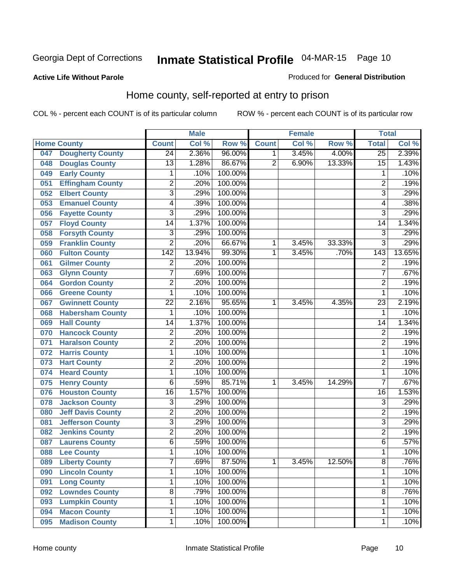#### **Active Life Without Parole**

#### Produced for **General Distribution**

### Home county, self-reported at entry to prison

|     |                          |                  | <b>Male</b> |         |                | <b>Female</b> |        | <b>Total</b>     |        |
|-----|--------------------------|------------------|-------------|---------|----------------|---------------|--------|------------------|--------|
|     | <b>Home County</b>       | <b>Count</b>     | Col %       | Row %   | <b>Count</b>   | Col %         | Row %  | <b>Total</b>     | Col %  |
| 047 | <b>Dougherty County</b>  | $\overline{24}$  | 2.36%       | 96.00%  | 1              | 3.45%         | 4.00%  | $\overline{25}$  | 2.39%  |
| 048 | <b>Douglas County</b>    | 13               | 1.28%       | 86.67%  | $\overline{2}$ | 6.90%         | 13.33% | $\overline{15}$  | 1.43%  |
| 049 | <b>Early County</b>      | 1                | .10%        | 100.00% |                |               |        | 1                | .10%   |
| 051 | <b>Effingham County</b>  | $\overline{2}$   | .20%        | 100.00% |                |               |        | $\overline{2}$   | .19%   |
| 052 | <b>Elbert County</b>     | $\overline{3}$   | .29%        | 100.00% |                |               |        | 3                | .29%   |
| 053 | <b>Emanuel County</b>    | 4                | .39%        | 100.00% |                |               |        | 4                | .38%   |
| 056 | <b>Fayette County</b>    | $\overline{3}$   | .29%        | 100.00% |                |               |        | $\overline{3}$   | .29%   |
| 057 | <b>Floyd County</b>      | 14               | 1.37%       | 100.00% |                |               |        | 14               | 1.34%  |
| 058 | <b>Forsyth County</b>    | $\overline{3}$   | .29%        | 100.00% |                |               |        | 3                | .29%   |
| 059 | <b>Franklin County</b>   | $\overline{2}$   | .20%        | 66.67%  | 1              | 3.45%         | 33.33% | $\overline{3}$   | .29%   |
| 060 | <b>Fulton County</b>     | $\overline{142}$ | 13.94%      | 99.30%  | 1              | 3.45%         | .70%   | $\overline{143}$ | 13.65% |
| 061 | <b>Gilmer County</b>     | $\overline{2}$   | .20%        | 100.00% |                |               |        | $\overline{2}$   | .19%   |
| 063 | <b>Glynn County</b>      | $\overline{7}$   | .69%        | 100.00% |                |               |        | 7                | .67%   |
| 064 | <b>Gordon County</b>     | $\overline{2}$   | .20%        | 100.00% |                |               |        | $\overline{2}$   | .19%   |
| 066 | <b>Greene County</b>     | $\mathbf{1}$     | .10%        | 100.00% |                |               |        | 1                | .10%   |
| 067 | <b>Gwinnett County</b>   | 22               | 2.16%       | 95.65%  | 1              | 3.45%         | 4.35%  | 23               | 2.19%  |
| 068 | <b>Habersham County</b>  | 1                | .10%        | 100.00% |                |               |        | 1                | .10%   |
| 069 | <b>Hall County</b>       | 14               | 1.37%       | 100.00% |                |               |        | $\overline{14}$  | 1.34%  |
| 070 | <b>Hancock County</b>    | $\overline{2}$   | .20%        | 100.00% |                |               |        | $\overline{2}$   | .19%   |
| 071 | <b>Haralson County</b>   | $\overline{2}$   | .20%        | 100.00% |                |               |        | $\overline{2}$   | .19%   |
| 072 | <b>Harris County</b>     | $\mathbf 1$      | .10%        | 100.00% |                |               |        | 1                | .10%   |
| 073 | <b>Hart County</b>       | $\overline{2}$   | .20%        | 100.00% |                |               |        | $\overline{2}$   | .19%   |
| 074 | <b>Heard County</b>      | $\mathbf{1}$     | .10%        | 100.00% |                |               |        | 1                | .10%   |
| 075 | <b>Henry County</b>      | 6                | .59%        | 85.71%  | 1              | 3.45%         | 14.29% | $\overline{7}$   | .67%   |
| 076 | <b>Houston County</b>    | $\overline{16}$  | 1.57%       | 100.00% |                |               |        | $\overline{16}$  | 1.53%  |
| 078 | <b>Jackson County</b>    | $\overline{3}$   | .29%        | 100.00% |                |               |        | 3                | .29%   |
| 080 | <b>Jeff Davis County</b> | $\overline{2}$   | .20%        | 100.00% |                |               |        | $\overline{2}$   | .19%   |
| 081 | <b>Jefferson County</b>  | $\overline{3}$   | .29%        | 100.00% |                |               |        | $\overline{3}$   | .29%   |
| 082 | <b>Jenkins County</b>    | $\overline{2}$   | .20%        | 100.00% |                |               |        | $\overline{2}$   | .19%   |
| 087 | <b>Laurens County</b>    | 6                | .59%        | 100.00% |                |               |        | 6                | .57%   |
| 088 | <b>Lee County</b>        | 1                | .10%        | 100.00% |                |               |        | 1                | .10%   |
| 089 | <b>Liberty County</b>    | 7                | .69%        | 87.50%  | 1              | 3.45%         | 12.50% | 8                | .76%   |
| 090 | <b>Lincoln County</b>    | $\mathbf{1}$     | .10%        | 100.00% |                |               |        | 1                | .10%   |
| 091 | <b>Long County</b>       | $\mathbf 1$      | .10%        | 100.00% |                |               |        | 1                | .10%   |
| 092 | <b>Lowndes County</b>    | $\overline{8}$   | .79%        | 100.00% |                |               |        | $\overline{8}$   | .76%   |
| 093 | <b>Lumpkin County</b>    | 1                | .10%        | 100.00% |                |               |        | 1                | .10%   |
| 094 | <b>Macon County</b>      | $\mathbf 1$      | .10%        | 100.00% |                |               |        | 1                | .10%   |
| 095 | <b>Madison County</b>    | $\mathbf{1}$     | .10%        | 100.00% |                |               |        | 1                | .10%   |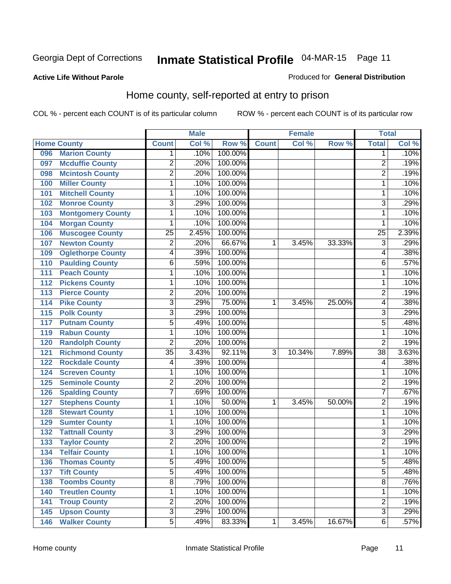#### **Active Life Without Parole**

#### Produced for **General Distribution**

### Home county, self-reported at entry to prison

|     |                          |                         | <b>Male</b> |         |              | <b>Female</b> |        | <b>Total</b>            |       |
|-----|--------------------------|-------------------------|-------------|---------|--------------|---------------|--------|-------------------------|-------|
|     | <b>Home County</b>       | <b>Count</b>            | Col %       | Row %   | <b>Count</b> | Col %         | Row %  | <b>Total</b>            | Col % |
| 096 | <b>Marion County</b>     | 1                       | .10%        | 100.00% |              |               |        | 1                       | .10%  |
| 097 | <b>Mcduffie County</b>   | $\overline{2}$          | .20%        | 100.00% |              |               |        | $\overline{2}$          | .19%  |
| 098 | <b>Mcintosh County</b>   | $\overline{2}$          | .20%        | 100.00% |              |               |        | $\overline{2}$          | .19%  |
| 100 | <b>Miller County</b>     | $\mathbf 1$             | .10%        | 100.00% |              |               |        | 1                       | .10%  |
| 101 | <b>Mitchell County</b>   | $\mathbf 1$             | .10%        | 100.00% |              |               |        | 1                       | .10%  |
| 102 | <b>Monroe County</b>     | $\overline{3}$          | .29%        | 100.00% |              |               |        | $\overline{3}$          | .29%  |
| 103 | <b>Montgomery County</b> | 1                       | .10%        | 100.00% |              |               |        | 1                       | .10%  |
| 104 | <b>Morgan County</b>     | 1                       | .10%        | 100.00% |              |               |        | 1                       | .10%  |
| 106 | <b>Muscogee County</b>   | 25                      | 2.45%       | 100.00% |              |               |        | $\overline{25}$         | 2.39% |
| 107 | <b>Newton County</b>     | $\overline{2}$          | .20%        | 66.67%  | 1            | 3.45%         | 33.33% | 3                       | .29%  |
| 109 | <b>Oglethorpe County</b> | 4                       | .39%        | 100.00% |              |               |        | 4                       | .38%  |
| 110 | <b>Paulding County</b>   | 6                       | .59%        | 100.00% |              |               |        | 6                       | .57%  |
| 111 | <b>Peach County</b>      | $\mathbf 1$             | .10%        | 100.00% |              |               |        | 1                       | .10%  |
| 112 | <b>Pickens County</b>    | $\mathbf 1$             | .10%        | 100.00% |              |               |        | 1                       | .10%  |
| 113 | <b>Pierce County</b>     | $\overline{2}$          | .20%        | 100.00% |              |               |        | $\overline{2}$          | .19%  |
| 114 | <b>Pike County</b>       | $\overline{3}$          | .29%        | 75.00%  | 1            | 3.45%         | 25.00% | 4                       | .38%  |
| 115 | <b>Polk County</b>       | $\overline{3}$          | .29%        | 100.00% |              |               |        | 3                       | .29%  |
| 117 | <b>Putnam County</b>     | 5                       | .49%        | 100.00% |              |               |        | 5                       | .48%  |
| 119 | <b>Rabun County</b>      | $\mathbf 1$             | .10%        | 100.00% |              |               |        | 1                       | .10%  |
| 120 | <b>Randolph County</b>   | $\overline{2}$          | .20%        | 100.00% |              |               |        | $\overline{2}$          | .19%  |
| 121 | <b>Richmond County</b>   | $\overline{35}$         | 3.43%       | 92.11%  | 3            | 10.34%        | 7.89%  | $\overline{38}$         | 3.63% |
| 122 | <b>Rockdale County</b>   | 4                       | .39%        | 100.00% |              |               |        | 4                       | .38%  |
| 124 | <b>Screven County</b>    | 1                       | .10%        | 100.00% |              |               |        | 1                       | .10%  |
| 125 | <b>Seminole County</b>   | $\overline{c}$          | .20%        | 100.00% |              |               |        | $\overline{c}$          | .19%  |
| 126 | <b>Spalding County</b>   | $\overline{7}$          | .69%        | 100.00% |              |               |        | 7                       | .67%  |
| 127 | <b>Stephens County</b>   | $\mathbf 1$             | .10%        | 50.00%  | 1            | 3.45%         | 50.00% | $\overline{2}$          | .19%  |
| 128 | <b>Stewart County</b>    | $\mathbf 1$             | .10%        | 100.00% |              |               |        | 1                       | .10%  |
| 129 | <b>Sumter County</b>     | $\mathbf 1$             | .10%        | 100.00% |              |               |        | 1                       | .10%  |
| 132 | <b>Tattnall County</b>   | $\overline{3}$          | .29%        | 100.00% |              |               |        | $\overline{3}$          | .29%  |
| 133 | <b>Taylor County</b>     | $\overline{2}$          | .20%        | 100.00% |              |               |        | $\overline{2}$          | .19%  |
| 134 | <b>Telfair County</b>    | $\mathbf{1}$            | .10%        | 100.00% |              |               |        | 1                       | .10%  |
| 136 | <b>Thomas County</b>     | 5                       | .49%        | 100.00% |              |               |        | 5                       | .48%  |
| 137 | <b>Tift County</b>       | $\overline{5}$          | .49%        | 100.00% |              |               |        | $\overline{5}$          | .48%  |
| 138 | <b>Toombs County</b>     | $\overline{8}$          | .79%        | 100.00% |              |               |        | 8                       | .76%  |
| 140 | <b>Treutlen County</b>   | $\mathbf 1$             | .10%        | 100.00% |              |               |        | 1                       | .10%  |
| 141 | <b>Troup County</b>      | $\overline{\mathbf{c}}$ | .20%        | 100.00% |              |               |        | $\overline{\mathbf{c}}$ | .19%  |
| 145 | <b>Upson County</b>      | $\overline{3}$          | .29%        | 100.00% |              |               |        | $\overline{3}$          | .29%  |
| 146 | <b>Walker County</b>     | $\overline{5}$          | .49%        | 83.33%  | 1            | 3.45%         | 16.67% | $\overline{6}$          | .57%  |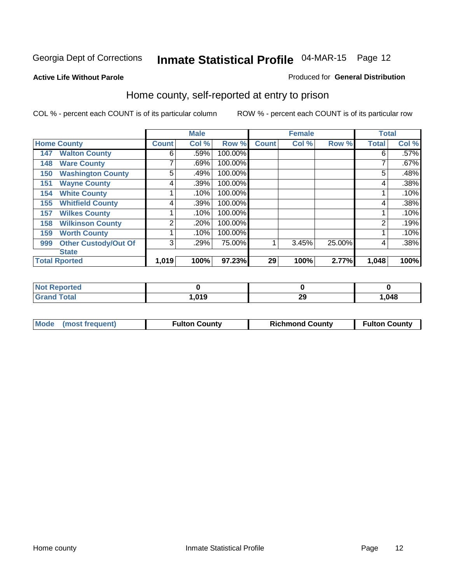Produced for **General Distribution**

#### **Active Life Without Parole**

### Home county, self-reported at entry to prison

|     |                             |              | <b>Male</b> |         |              | <b>Female</b> |        | <b>Total</b> |       |
|-----|-----------------------------|--------------|-------------|---------|--------------|---------------|--------|--------------|-------|
|     | <b>Home County</b>          | <b>Count</b> | Col %       | Row %   | <b>Count</b> | Col %         | Row %  | <b>Total</b> | Col % |
| 147 | <b>Walton County</b>        | 6            | .59%        | 100.00% |              |               |        | 6            | .57%  |
| 148 | <b>Ware County</b>          | ⇁            | .69%        | 100.00% |              |               |        |              | .67%  |
| 150 | <b>Washington County</b>    | 5            | .49%        | 100.00% |              |               |        | 5            | .48%  |
| 151 | <b>Wayne County</b>         | 4            | .39%        | 100.00% |              |               |        | 4            | .38%  |
| 154 | <b>White County</b>         |              | .10%        | 100.00% |              |               |        |              | .10%  |
| 155 | <b>Whitfield County</b>     | 4            | .39%        | 100.00% |              |               |        | 4            | .38%  |
| 157 | <b>Wilkes County</b>        |              | .10%        | 100.00% |              |               |        |              | .10%  |
| 158 | <b>Wilkinson County</b>     | 2            | .20%        | 100.00% |              |               |        | 2            | .19%  |
| 159 | <b>Worth County</b>         |              | .10%        | 100.00% |              |               |        |              | .10%  |
| 999 | <b>Other Custody/Out Of</b> | 3            | .29%        | 75.00%  |              | 3.45%         | 25.00% | 4            | .38%  |
|     | <b>State</b>                |              |             |         |              |               |        |              |       |
|     | <b>Total Rported</b>        | 1,019        | 100%        | 97.23%  | 29           | 100%          | 2.77%  | 1,048        | 100%  |

| Reported     |                     |          |      |
|--------------|---------------------|----------|------|
| <b>Total</b> | <b>010</b><br>.v. J | n,<br>∠খ | ,048 |

| Mode (most frequent) | <sup>=</sup> ulton County | <b>Richmond County</b> | <b>Fulton County</b> |
|----------------------|---------------------------|------------------------|----------------------|
|                      |                           |                        |                      |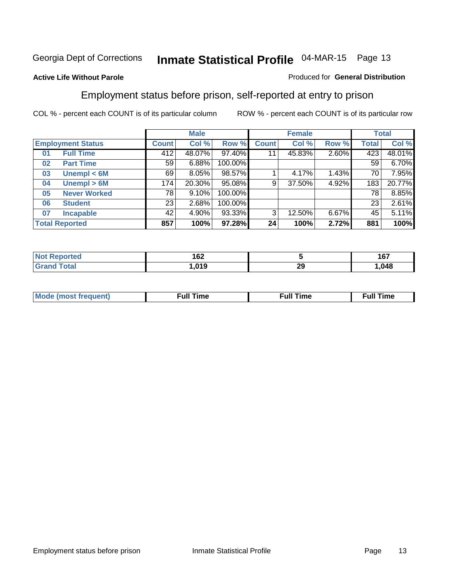#### **Active Life Without Parole**

#### Produced for **General Distribution**

### Employment status before prison, self-reported at entry to prison

|    |                          |                 | <b>Male</b> |         |              | <b>Female</b> |       |       | <b>Total</b> |
|----|--------------------------|-----------------|-------------|---------|--------------|---------------|-------|-------|--------------|
|    | <b>Employment Status</b> | Count           | Col %       | Row %   | <b>Count</b> | Col %         | Row % | Total | Col %        |
| 01 | <b>Full Time</b>         | 412             | 48.07%      | 97.40%  | 11           | 45.83%        | 2.60% | 423   | 48.01%       |
| 02 | <b>Part Time</b>         | 59 <sub>1</sub> | 6.88%       | 100.00% |              |               |       | 59    | 6.70%        |
| 03 | Unempl $<$ 6M            | 69              | 8.05%       | 98.57%  |              | 4.17%         | 1.43% | 70    | 7.95%        |
| 04 | Unempl > 6M              | 174             | 20.30%      | 95.08%  | 9            | 37.50%        | 4.92% | 183   | 20.77%       |
| 05 | <b>Never Worked</b>      | 78              | 9.10%       | 100.00% |              |               |       | 78    | 8.85%        |
| 06 | <b>Student</b>           | 23              | 2.68%       | 100.00% |              |               |       | 23    | 2.61%        |
| 07 | <b>Incapable</b>         | 42              | 4.90%       | 93.33%  | 3            | 12.50%        | 6.67% | 45    | 5.11%        |
|    | <b>Total Reported</b>    | 857             | 100%        | 97.28%  | 24           | 100%          | 2.72% | 881   | 100%         |

| чес              | 162           |           | 167<br>101 |
|------------------|---------------|-----------|------------|
| T <sub>min</sub> | 0.40<br>כו ט. | nr.<br>~~ | ,048       |

| <b>M</b> ດ | the contract of the contract of the contract of the contract of the contract of the contract of the contract of | , ull i<br>ıme | ïme<br>uı |
|------------|-----------------------------------------------------------------------------------------------------------------|----------------|-----------|
|            |                                                                                                                 |                |           |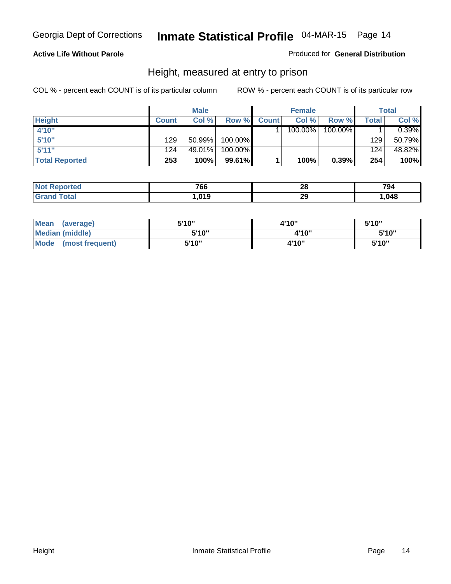#### **Active Life Without Parole**

#### Produced for **General Distribution**

### Height, measured at entry to prison

|                       |              | <b>Male</b> |         |              | <b>Female</b> |         |       | <b>Total</b> |
|-----------------------|--------------|-------------|---------|--------------|---------------|---------|-------|--------------|
| <b>Height</b>         | <b>Count</b> | Col %       | Row %   | <b>Count</b> | Col %         | Row %   | Total | Col %        |
| 4'10"                 |              |             |         |              | 100.00%       | 100.00% |       | 0.39%        |
| 5'10''                | 129          | $50.99\%$   | 100.00% |              |               |         | 129   | 50.79%       |
| 5'11''                | 124          | 49.01%      | 100.00% |              |               |         | 124   | 48.82%       |
| <b>Total Reported</b> | 253          | 100%        | 99.61%  |              | 100%          | 0.39%   | 254   | 100%         |

| <b>Not</b><br>Reported | 766  | nc<br>ZO | 794    |
|------------------------|------|----------|--------|
| 'Grand<br>Гоtal        | ,019 | 29       | 048. ا |

| <b>Mean</b><br>(average) | 5'10" | 4'10" | 5'10'' |
|--------------------------|-------|-------|--------|
| Median (middle)          | 5'10" | 4'10" | 5'10"  |
| Mode<br>(most frequent)  | 5'10" | 4'10" | 5'10"  |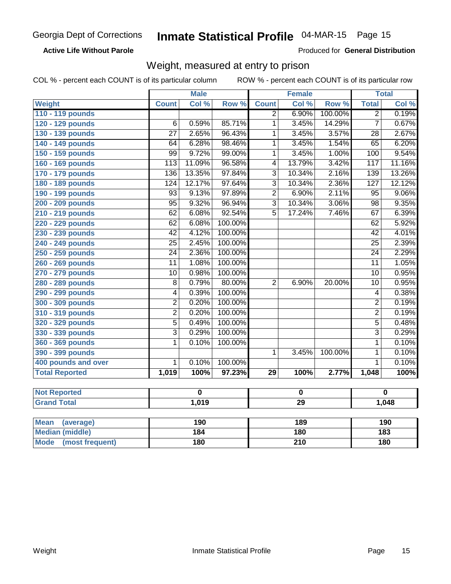#### **Active Life Without Parole**

Produced for **General Distribution**

### Weight, measured at entry to prison

|                                |                  | <b>Male</b> |         |                | <b>Female</b> |         |                         | <b>Total</b>    |
|--------------------------------|------------------|-------------|---------|----------------|---------------|---------|-------------------------|-----------------|
| Weight                         | <b>Count</b>     | Col %       | Row %   | <b>Count</b>   | Col %         | Row %   | <b>Total</b>            | Col %           |
| 110 - 119 pounds               |                  |             |         | $\overline{2}$ | 6.90%         | 100.00% | $\overline{2}$          | 0.19%           |
| 120 - 129 pounds               | 6                | 0.59%       | 85.71%  | $\mathbf 1$    | 3.45%         | 14.29%  | $\overline{7}$          | 0.67%           |
| 130 - 139 pounds               | $\overline{27}$  | 2.65%       | 96.43%  | 1              | 3.45%         | 3.57%   | $\overline{28}$         | 2.67%           |
| 140 - 149 pounds               | 64               | 6.28%       | 98.46%  | 1              | 3.45%         | 1.54%   | 65                      | 6.20%           |
| 150 - 159 pounds               | $\overline{99}$  | 9.72%       | 99.00%  | 1              | 3.45%         | 1.00%   | 100                     | 9.54%           |
| 160 - 169 pounds               | $\overline{113}$ | 11.09%      | 96.58%  | 4              | 13.79%        | 3.42%   | 117                     | 11.16%          |
| 170 - 179 pounds               | 136              | 13.35%      | 97.84%  | $\overline{3}$ | 10.34%        | 2.16%   | 139                     | 13.26%          |
| 180 - 189 pounds               | 124              | 12.17%      | 97.64%  | $\overline{3}$ | 10.34%        | 2.36%   | 127                     | 12.12%          |
| 190 - 199 pounds               | $\overline{93}$  | 9.13%       | 97.89%  | $\overline{2}$ | 6.90%         | 2.11%   | $\overline{95}$         | 9.06%           |
| 200 - 209 pounds               | $\overline{95}$  | 9.32%       | 96.94%  | $\overline{3}$ | 10.34%        | 3.06%   | $\overline{98}$         | 9.35%           |
| 210 - 219 pounds               | 62               | 6.08%       | 92.54%  | $\overline{5}$ | 17.24%        | 7.46%   | 67                      | 6.39%           |
| 220 - 229 pounds               | 62               | 6.08%       | 100.00% |                |               |         | 62                      | 5.92%           |
| 230 - 239 pounds               | $\overline{42}$  | 4.12%       | 100.00% |                |               |         | $\overline{42}$         | 4.01%           |
| 240 - 249 pounds               | $\overline{25}$  | 2.45%       | 100.00% |                |               |         | $\overline{25}$         | 2.39%           |
| 250 - 259 pounds               | $\overline{24}$  | 2.36%       | 100.00% |                |               |         | $\overline{24}$         | 2.29%           |
| 260 - 269 pounds               | $\overline{11}$  | 1.08%       | 100.00% |                |               |         | $\overline{11}$         | 1.05%           |
| 270 - 279 pounds               | $\overline{10}$  | 0.98%       | 100.00% |                |               |         | $\overline{10}$         | 0.95%           |
| 280 - 289 pounds               | 8                | 0.79%       | 80.00%  | $\overline{2}$ | 6.90%         | 20.00%  | 10                      | 0.95%           |
| 290 - 299 pounds               | 4                | 0.39%       | 100.00% |                |               |         | $\overline{\mathbf{4}}$ | 0.38%           |
| 300 - 309 pounds               | $\overline{2}$   | 0.20%       | 100.00% |                |               |         | $\overline{2}$          | 0.19%           |
| 310 - 319 pounds               | $\overline{2}$   | 0.20%       | 100.00% |                |               |         | $\overline{2}$          | 0.19%           |
| 320 - 329 pounds               | $\overline{5}$   | 0.49%       | 100.00% |                |               |         | $\overline{5}$          | 0.48%           |
| 330 - 339 pounds               | $\overline{3}$   | 0.29%       | 100.00% |                |               |         | $\overline{3}$          | 0.29%           |
| 360 - 369 pounds               | 1                | 0.10%       | 100.00% |                |               |         | $\overline{1}$          | 0.10%           |
| 390 - 399 pounds               |                  |             |         | $\mathbf{1}$   | 3.45%         | 100.00% | $\overline{1}$          | 0.10%           |
| 400 pounds and over            | $\overline{1}$   | 0.10%       | 100.00% |                |               |         | $\overline{1}$          | 0.10%           |
| <b>Total Reported</b>          | 1,019            | 100%        | 97.23%  | 29             | 100%          | 2.77%   | 1,048                   | 100%            |
|                                |                  |             |         |                |               |         |                         |                 |
| <b>Not Reported</b>            |                  | $\mathbf 0$ |         |                | $\mathbf 0$   |         |                         | $\mathbf 0$     |
| <b>Grand Total</b>             |                  | 1,019       |         |                | 29            |         |                         | 1,048           |
|                                |                  |             |         |                |               |         |                         |                 |
| <b>Mean</b><br>(average)       |                  | 190         |         |                | 189           |         |                         | 190             |
| <b>Median (middle)</b>         |                  | 184         |         |                | 180           |         |                         | $\frac{1}{183}$ |
| <b>Mode</b><br>(most frequent) |                  | 180         |         |                | 210           |         |                         | 180             |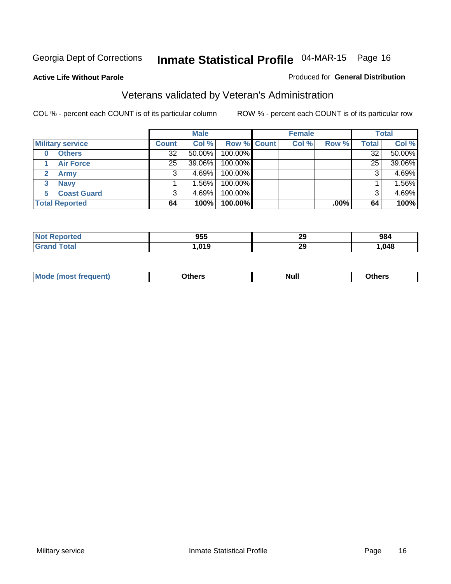#### **Active Life Without Parole**

#### Produced for **General Distribution**

### Veterans validated by Veteran's Administration

|                         |                 | <b>Male</b> |             | <b>Female</b> |         |              | <b>Total</b> |
|-------------------------|-----------------|-------------|-------------|---------------|---------|--------------|--------------|
| <b>Military service</b> | <b>Count</b>    | Col %       | Row % Count | Col %         | Row %   | <b>Total</b> | Col %        |
| <b>Others</b><br>0      | 32              | $50.00\%$   | 100.00%     |               |         | 32           | 50.00%       |
| <b>Air Force</b>        | 25 <sub>1</sub> | 39.06%      | 100.00%     |               |         | 25           | 39.06%       |
| <b>Army</b>             |                 | $4.69\%$    | 100.00%     |               |         | 3            | 4.69%        |
| <b>Navy</b><br>3        |                 | $1.56\%$    | 100.00%     |               |         |              | 1.56%        |
| <b>Coast Guard</b><br>5 |                 | $4.69\%$    | 100.00%     |               |         |              | 4.69%        |
| <b>Total Reported</b>   | 64              | 100%        | 100.00%     |               | $.00\%$ | 64           | 100%         |

| orted   | 955  | oc.<br>23 | 984  |
|---------|------|-----------|------|
| $C = 4$ | .019 | oc.<br>23 | ,048 |

| Nul.<br>____<br>____ |
|----------------------|
|----------------------|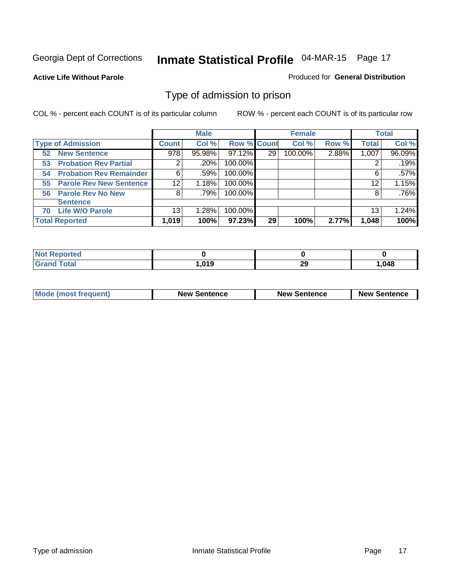#### **Active Life Without Parole**

#### Produced for **General Distribution**

### Type of admission to prison

|                                      |                 | <b>Male</b> |                    |    | <b>Female</b> |       |              | <b>Total</b> |
|--------------------------------------|-----------------|-------------|--------------------|----|---------------|-------|--------------|--------------|
| <b>Type of Admission</b>             | <b>Count</b>    | Col %       | <b>Row % Count</b> |    | Col %         | Row % | <b>Total</b> | Col %        |
| <b>New Sentence</b><br>52            | 978             | 95.98%      | 97.12%             | 29 | 100.00%       | 2.88% | 1,007        | 96.09%       |
| <b>Probation Rev Partial</b><br>53   | 2               | .20%        | 100.00%            |    |               |       |              | .19%         |
| <b>Probation Rev Remainder</b><br>54 | 6               | .59%        | 100.00%            |    |               |       | 6            | $.57\%$      |
| <b>Parole Rev New Sentence</b><br>55 | 12 <sup>°</sup> | 1.18%       | 100.00%            |    |               |       | 12           | 1.15%        |
| 56 Parole Rev No New                 | 8               | .79%        | 100.00%            |    |               |       | 8            | .76%         |
| <b>Sentence</b>                      |                 |             |                    |    |               |       |              |              |
| <b>Life W/O Parole</b><br>70         | 13 <sub>1</sub> | 1.28%       | 100.00%            |    |               |       | 13           | 1.24%        |
| <b>Total Reported</b>                | 1,019           | 100%        | 97.23%             | 29 | 100%          | 2.77% | 1,048        | 100%         |

| eported      |                |          |      |
|--------------|----------------|----------|------|
| <b>Total</b> | 01 Q<br>.v . J | or.<br>∼ | ,048 |

| <b>Mode (most frequent)</b> | <b>New Sentence</b> | <b>New Sentence</b> | <b>New Sentence</b> |
|-----------------------------|---------------------|---------------------|---------------------|
|                             |                     |                     |                     |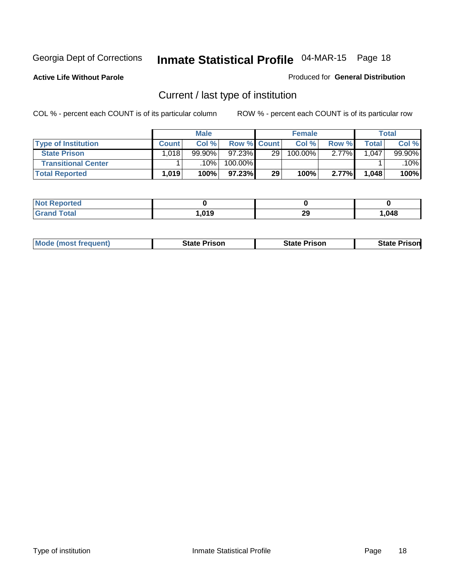**Active Life Without Parole** 

Produced for **General Distribution**

### Current / last type of institution

|                            |       | <b>Male</b> |                    |                 | <b>Female</b> |       |       | <b>Total</b> |
|----------------------------|-------|-------------|--------------------|-----------------|---------------|-------|-------|--------------|
| <b>Type of Institution</b> | Count | Col %       | <b>Row % Count</b> |                 | Col %         | Row % | Total | Col %        |
| <b>State Prison</b>        | 1,018 | 99.90%      | $97.23\%$          | 29 <sup>1</sup> | $100.00\%$    | 2.77% | .047  | 99.90%       |
| <b>Transitional Center</b> |       | 10%         | 100.00%            |                 |               |       |       | 10%          |
| <b>Total Reported</b>      | 1,019 | 100%        | 97.23%             | 29              | 100%          | 2.77% | 1,048 | 100%         |

| τeα         |      |          |      |
|-------------|------|----------|------|
| <b>otal</b> | 01 O | າເ<br>LJ | .048 |

| <b>Mode (most frequent)</b> | State Prison | <b>State Prison</b> | <b>State Prison</b> |
|-----------------------------|--------------|---------------------|---------------------|
|                             |              |                     |                     |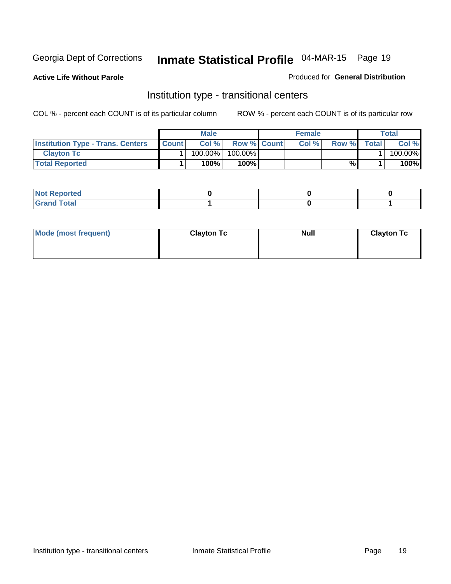**Active Life Without Parole** 

#### Produced for **General Distribution**

### Institution type - transitional centers

|                                          |              | <b>Male</b> |                    | <b>Female</b> |              |              | Total   |
|------------------------------------------|--------------|-------------|--------------------|---------------|--------------|--------------|---------|
| <b>Institution Type - Trans. Centers</b> | <b>Count</b> | Col%        | <b>Row % Count</b> | Col %         | <b>Row %</b> | <b>Total</b> | Col %   |
| <b>Clayton Tc</b>                        |              | $100.00\%$  | $100.00\%$         |               |              |              | 100.00% |
| <b>Total Reported</b>                    |              | 100%        | 100% <b>I</b>      |               | %            |              | 100%    |

| المنتبط المتعاد<br>$\mid$ Not Reported |  |  |
|----------------------------------------|--|--|
| intal<br>$-$<br>_____                  |  |  |

| Mode (most frequent) | <b>Clayton Tc</b> | <b>Null</b> | <b>Clayton Tc</b> |
|----------------------|-------------------|-------------|-------------------|
|                      |                   |             |                   |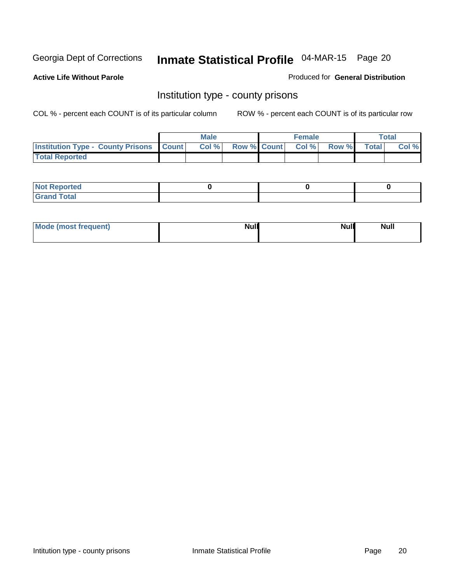**Active Life Without Parole** 

Produced for **General Distribution**

### Institution type - county prisons

|                                                    | <b>Male</b> |                   | <b>Female</b> |       |              | Total |
|----------------------------------------------------|-------------|-------------------|---------------|-------|--------------|-------|
| <b>Institution Type - County Prisons   Count  </b> | Col %       | Row % Count Col % |               | Row % | <b>Total</b> | Col % |
| <b>Total Reported</b>                              |             |                   |               |       |              |       |

| <b>Not</b><br><b>Reported</b> |  |  |
|-------------------------------|--|--|
| <b>Grand Total</b>            |  |  |

| Mode (most frequent) | <b>Null</b> | <b>Null</b><br><b>Null</b> |
|----------------------|-------------|----------------------------|
|                      |             |                            |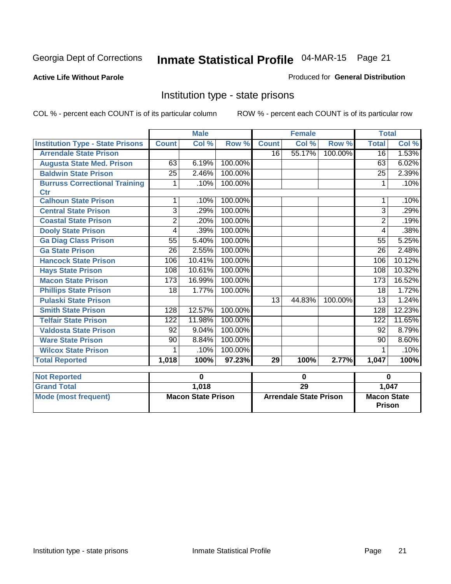#### **Active Life Without Parole**

#### Produced for **General Distribution**

### Institution type - state prisons

|                                         |                 | <b>Male</b>               |                      |                 | <b>Female</b>                 |         | <b>Total</b>                 |        |
|-----------------------------------------|-----------------|---------------------------|----------------------|-----------------|-------------------------------|---------|------------------------------|--------|
| <b>Institution Type - State Prisons</b> | <b>Count</b>    | Col %                     | Row %                | <b>Count</b>    | Col %                         | Row %   | <b>Total</b>                 | Col %  |
| <b>Arrendale State Prison</b>           |                 |                           |                      | $\overline{16}$ | 55.17%                        | 100.00% | $\overline{16}$              | 1.53%  |
| <b>Augusta State Med. Prison</b>        | 63              | 6.19%                     | 100.00%              |                 |                               |         | 63                           | 6.02%  |
| <b>Baldwin State Prison</b>             | $\overline{25}$ | 2.46%                     | 100.00%              |                 |                               |         | $\overline{25}$              | 2.39%  |
| <b>Burruss Correctional Training</b>    | 1               | .10%                      | 100.00%              |                 |                               |         | 1                            | .10%   |
| <b>Ctr</b>                              |                 |                           |                      |                 |                               |         |                              |        |
| <b>Calhoun State Prison</b>             | 1               | .10%                      | 100.00%              |                 |                               |         | 1                            | .10%   |
| <b>Central State Prison</b>             | 3               | .29%                      | 100.00%              |                 |                               |         | $\overline{3}$               | .29%   |
| <b>Coastal State Prison</b>             | $\overline{2}$  | .20%                      | 100.00%              |                 |                               |         | 2                            | .19%   |
| <b>Dooly State Prison</b>               | 4               | .39%                      | 100.00%              |                 |                               |         | 4                            | .38%   |
| <b>Ga Diag Class Prison</b>             | 55              | 5.40%                     | 100.00%              |                 |                               |         | 55                           | 5.25%  |
| <b>Ga State Prison</b>                  | $\overline{26}$ | 2.55%                     | 100.00%              |                 |                               |         | 26                           | 2.48%  |
| <b>Hancock State Prison</b>             | 106             | 10.41%                    | 100.00%              |                 |                               |         | 106                          | 10.12% |
| <b>Hays State Prison</b>                | 108             | 10.61%                    | 100.00%              |                 |                               |         | 108                          | 10.32% |
| <b>Macon State Prison</b>               | 173             | 16.99%                    | 100.00%              |                 |                               |         | 173                          | 16.52% |
| <b>Phillips State Prison</b>            | 18              | 1.77%                     | 100.00%              |                 |                               |         | 18                           | 1.72%  |
| <b>Pulaski State Prison</b>             |                 |                           |                      | 13              | 44.83%                        | 100.00% | 13                           | 1.24%  |
| <b>Smith State Prison</b>               | 128             | 12.57%                    | 100.00%              |                 |                               |         | 128                          | 12.23% |
| <b>Telfair State Prison</b>             | 122             | 11.98%                    | 100.00%              |                 |                               |         | 122                          | 11.65% |
| <b>Valdosta State Prison</b>            | $\overline{92}$ | 9.04%                     | 100.00%              |                 |                               |         | $\overline{92}$              | 8.79%  |
| <b>Ware State Prison</b>                | 90              | 8.84%                     | 100.00%              |                 |                               |         | 90                           | 8.60%  |
| <b>Wilcox State Prison</b>              | 1               | .10%                      | 100.00%              |                 |                               |         |                              | .10%   |
| <b>Total Reported</b>                   | 1,018           | 100%                      | $\overline{97.23\%}$ | 29              | 100%                          | 2.77%   | 1,047                        | 100%   |
|                                         |                 | 0                         |                      |                 |                               |         | $\bf{0}$                     |        |
| <b>Not Reported</b>                     |                 |                           |                      |                 | $\bf{0}$                      |         |                              |        |
| <b>Grand Total</b>                      |                 | 1,018                     |                      |                 | 29                            |         |                              | 1,047  |
| <b>Mode (most frequent)</b>             |                 | <b>Macon State Prison</b> |                      |                 | <b>Arrendale State Prison</b> |         | <b>Macon State</b><br>Prison |        |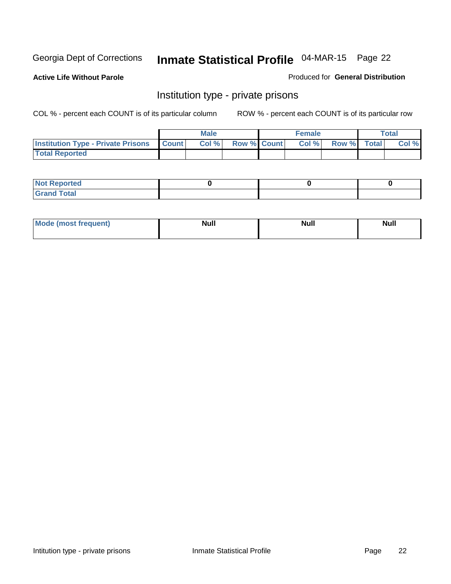**Active Life Without Parole** 

Produced for **General Distribution**

### Institution type - private prisons

|                                                     | <b>Male</b> |                    | <b>Female</b> |             | <b>Total</b> |
|-----------------------------------------------------|-------------|--------------------|---------------|-------------|--------------|
| <b>Institution Type - Private Prisons   Count  </b> | Col %       | <b>Row % Count</b> | Col%          | Row % Total | Col %        |
| <b>Total Reported</b>                               |             |                    |               |             |              |

| <b>Not Reported</b>  |  |  |
|----------------------|--|--|
| <b>Total</b><br>Cror |  |  |

| Mode (most  | <b>Null</b> | <b>Null</b> | Null |
|-------------|-------------|-------------|------|
| frequent) * |             |             |      |
|             |             |             |      |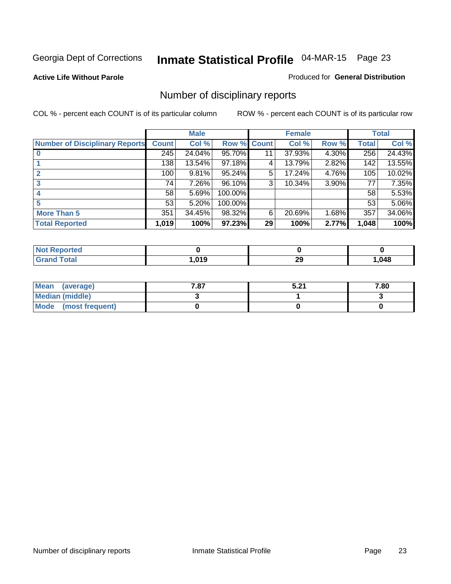**Active Life Without Parole** 

Produced for **General Distribution**

### Number of disciplinary reports

|                                       |              | <b>Male</b> |                    |    | <b>Female</b> |       |       | <b>Total</b> |
|---------------------------------------|--------------|-------------|--------------------|----|---------------|-------|-------|--------------|
| <b>Number of Disciplinary Reports</b> | <b>Count</b> | Col %       | <b>Row % Count</b> |    | Col %         | Row % | Total | Col %        |
|                                       | 245          | 24.04%      | 95.70%             | 11 | 37.93%        | 4.30% | 256   | 24.43%       |
|                                       | 138          | 13.54%      | 97.18%             | 4  | 13.79%        | 2.82% | 142   | 13.55%       |
| 2                                     | 100          | 9.81%       | 95.24%             | 5  | 17.24%        | 4.76% | 105   | 10.02%       |
| 3                                     | 74           | 7.26%       | 96.10%             | 3  | 10.34%        | 3.90% | 77    | 7.35%        |
|                                       | 58           | 5.69%       | 100.00%            |    |               |       | 58    | 5.53%        |
| 5                                     | 53           | 5.20%       | 100.00%            |    |               |       | 53    | 5.06%        |
| <b>More Than 5</b>                    | 351          | 34.45%      | 98.32%             | 6  | 20.69%        | 1.68% | 357   | 34.06%       |
| <b>Total Reported</b>                 | 1,019        | 100%        | 97.23%             | 29 | 100%          | 2.77% | 1,048 | 100%         |

| rtec<br>N   |      |    |      |
|-------------|------|----|------|
| <b>Tota</b> | .019 | 29 | ,048 |

| Mean (average)       | 7.87 | E 74<br>.J.Z. | 7.80 |
|----------------------|------|---------------|------|
| Median (middle)      |      |               |      |
| Mode (most frequent) |      |               |      |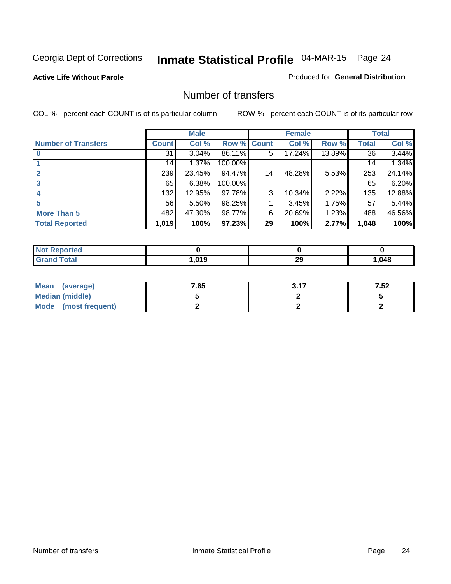#### **Active Life Without Parole**

#### Produced for **General Distribution**

### Number of transfers

|                            |         | <b>Male</b> |                    |    | <b>Female</b> |        |              | <b>Total</b> |
|----------------------------|---------|-------------|--------------------|----|---------------|--------|--------------|--------------|
| <b>Number of Transfers</b> | Count l | Col %       | <b>Row % Count</b> |    | Col %         | Row %  | <b>Total</b> | Col %        |
|                            | 31      | $3.04\%$    | 86.11%             | 5  | 17.24%        | 13.89% | 36           | 3.44%        |
|                            | 14      | 1.37%       | 100.00%            |    |               |        | 14           | 1.34%        |
| 2                          | 239     | 23.45%      | 94.47%             | 14 | 48.28%        | 5.53%  | 253          | 24.14%       |
| 3                          | 65      | 6.38%       | 100.00%            |    |               |        | 65           | 6.20%        |
|                            | 132     | 12.95%      | 97.78%             | 3  | 10.34%        | 2.22%  | 135          | 12.88%       |
| 5                          | 56      | $5.50\%$    | 98.25%             |    | 3.45%         | 1.75%  | 57           | 5.44%        |
| <b>More Than 5</b>         | 482     | 47.30%      | 98.77%             | 6  | 20.69%        | 1.23%  | 488          | 46.56%       |
| <b>Total Reported</b>      | 1,019   | 100%        | 97.23%             | 29 | 100%          | 2.77%  | 1,048        | 100%         |

| NI.<br>тес            |      |              |      |
|-----------------------|------|--------------|------|
| $T$ afar $T$<br>_____ | .019 | 29<br>$\sim$ | ,048 |

| Mean (average)       | 7.65 | 2.47 | 7.52 |
|----------------------|------|------|------|
| Median (middle)      |      |      |      |
| Mode (most frequent) |      |      |      |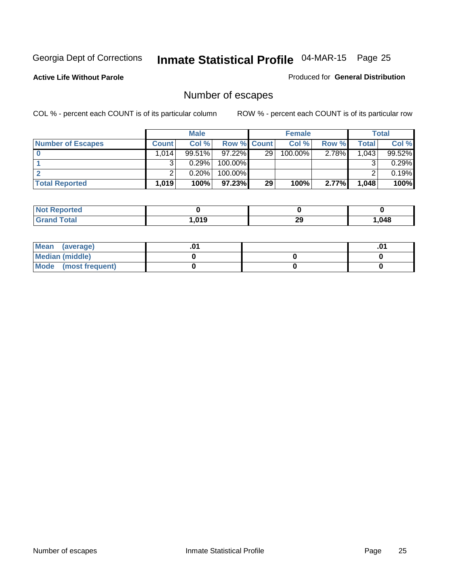**Active Life Without Parole** 

Produced for **General Distribution**

### Number of escapes

|                          |       | <b>Male</b> |                    |    | <b>Female</b> |          |         | <b>Total</b> |
|--------------------------|-------|-------------|--------------------|----|---------------|----------|---------|--------------|
| <b>Number of Escapes</b> | Count | Col%        | <b>Row % Count</b> |    | Col %         | Row %    | Total . | Col %        |
|                          | .014  | 99.51%      | $97.22\%$          | 29 | 100.00%       | $2.78\%$ | 1.0431  | 99.52%       |
|                          |       | 0.29%       | $100.00\%$         |    |               |          |         | 0.29%        |
|                          |       | 0.20%       | $100.00\%$         |    |               |          |         | 0.19%        |
| <b>Total Reported</b>    | 1.019 | 100%        | 97.23%             | 29 | 100%          | 2.77%    | 1,048   | 100%         |

| NO.<br>rreo      |      |         |      |
|------------------|------|---------|------|
| $\mathbf{v}$ and | ,019 | ົ<br>∠ง | .048 |

| Mean<br>(average)    |  | $\mathbf{0}$ |
|----------------------|--|--------------|
| Median (middle)      |  |              |
| Mode (most frequent) |  |              |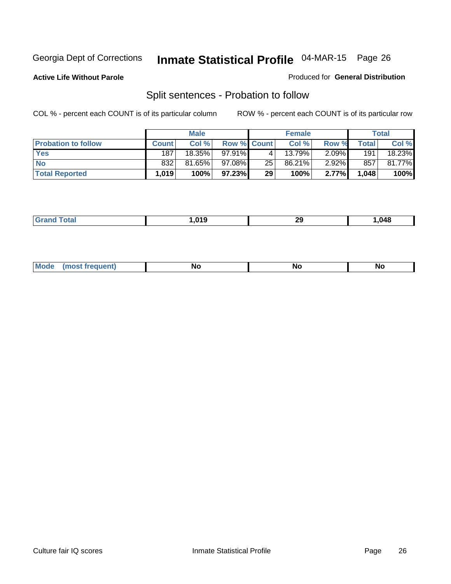**Active Life Without Parole** 

#### Produced for **General Distribution**

### Split sentences - Probation to follow

|                            |              | <b>Male</b> |                    |    | <b>Female</b>        |          |                  | Total  |
|----------------------------|--------------|-------------|--------------------|----|----------------------|----------|------------------|--------|
| <b>Probation to follow</b> | <b>Count</b> | Col %       | <b>Row % Count</b> |    | Col %                | Row %    | $\mathsf{Total}$ | Col %  |
| Yes                        | 187          | 18.35%      | $97.91\%$          |    | $13.\overline{79\%}$ | $2.09\%$ | 191              | 18.23% |
| <b>No</b>                  | 832          | 81.65%      | 97.08%             | 25 | 86.21%               | $2.92\%$ | 857              | 81.77% |
| <b>Total Reported</b>      | 1,019        | 100%        | 97.23%             | 29 | 100%                 | 2.77%    | 1,048            | 100%   |

|         | $\sim$ | 20<br>- 23 | $\overline{ }$<br>11Z.)  |
|---------|--------|------------|--------------------------|
| _______ |        | $\sim$     | $\overline{\phantom{a}}$ |

| <b>Mo</b><br>. <b>.</b> .<br>N1<br><b>NO</b><br>11 V<br>$\cdot$ . $\cdot$ |  |  |  |  |  |
|---------------------------------------------------------------------------|--|--|--|--|--|
|---------------------------------------------------------------------------|--|--|--|--|--|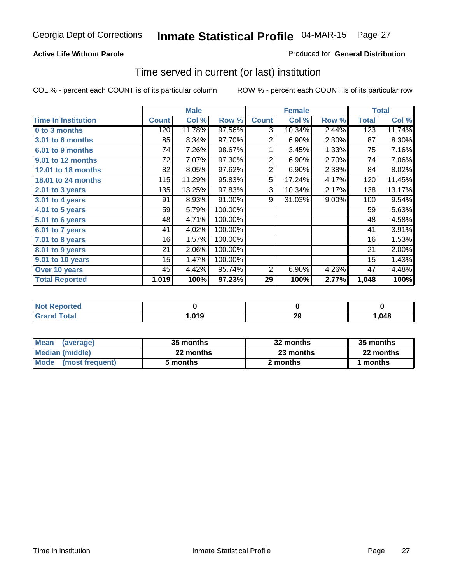#### **Active Life Without Parole**

#### Produced for **General Distribution**

### Time served in current (or last) institution

|                            |              | <b>Male</b> |         |                | <b>Female</b> |       |              | <b>Total</b> |
|----------------------------|--------------|-------------|---------|----------------|---------------|-------|--------------|--------------|
| <b>Time In Institution</b> | <b>Count</b> | Col %       | Row %   | <b>Count</b>   | Col %         | Row % | <b>Total</b> | Col %        |
| 0 to 3 months              | 120          | 11.78%      | 97.56%  | 3              | 10.34%        | 2.44% | 123          | 11.74%       |
| <b>3.01 to 6 months</b>    | 85           | 8.34%       | 97.70%  | $\overline{2}$ | 6.90%         | 2.30% | 87           | 8.30%        |
| 6.01 to 9 months           | 74           | 7.26%       | 98.67%  | 1              | 3.45%         | 1.33% | 75           | 7.16%        |
| 9.01 to 12 months          | 72           | 7.07%       | 97.30%  | $\overline{2}$ | 6.90%         | 2.70% | 74           | 7.06%        |
| 12.01 to 18 months         | 82           | 8.05%       | 97.62%  | $\overline{2}$ | 6.90%         | 2.38% | 84           | 8.02%        |
| 18.01 to 24 months         | 115          | 11.29%      | 95.83%  | 5              | 17.24%        | 4.17% | 120          | 11.45%       |
| 2.01 to 3 years            | 135          | 13.25%      | 97.83%  | 3              | 10.34%        | 2.17% | 138          | 13.17%       |
| 3.01 to 4 years            | 91           | 8.93%       | 91.00%  | 9              | 31.03%        | 9.00% | 100          | 9.54%        |
| 4.01 to 5 years            | 59           | 5.79%       | 100.00% |                |               |       | 59           | 5.63%        |
| 5.01 to 6 years            | 48           | 4.71%       | 100.00% |                |               |       | 48           | 4.58%        |
| 6.01 to 7 years            | 41           | 4.02%       | 100.00% |                |               |       | 41           | 3.91%        |
| 7.01 to 8 years            | 16           | 1.57%       | 100.00% |                |               |       | 16           | 1.53%        |
| 8.01 to 9 years            | 21           | 2.06%       | 100.00% |                |               |       | 21           | 2.00%        |
| 9.01 to 10 years           | 15           | 1.47%       | 100.00% |                |               |       | 15           | 1.43%        |
| Over 10 years              | 45           | 4.42%       | 95.74%  | 2              | 6.90%         | 4.26% | 47           | 4.48%        |
| <b>Total Reported</b>      | 1,019        | 100%        | 97.23%  | 29             | 100%          | 2.77% | 1,048        | 100%         |

| Reported<br>. NOT |                   |    |      |
|-------------------|-------------------|----|------|
| <b>cotal</b>      | . 04 <sup>o</sup> | ∠খ | ,048 |

| <b>Mean</b><br>(average) | 35 months | 32 months | 35 months |
|--------------------------|-----------|-----------|-----------|
| Median (middle)          | 22 months | 23 months | 22 months |
| Mode<br>(most frequent)  | 5 months  | 2 months  | months    |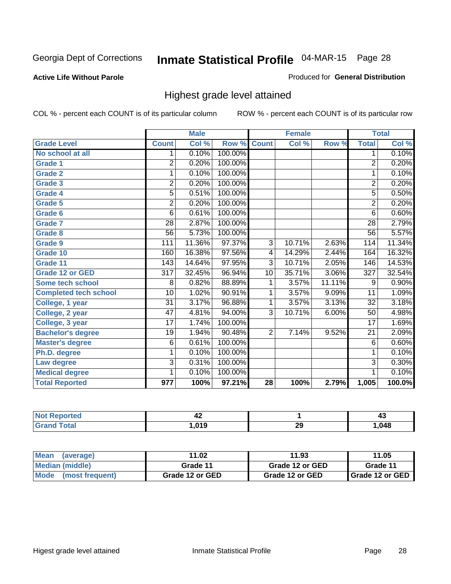#### **Active Life Without Parole**

#### Produced for **General Distribution**

### Highest grade level attained

|                              |                  | <b>Male</b> |         |                | <b>Female</b> |        |                  | <b>Total</b> |
|------------------------------|------------------|-------------|---------|----------------|---------------|--------|------------------|--------------|
| <b>Grade Level</b>           | <b>Count</b>     | Col %       | Row %   | <b>Count</b>   | Col %         | Row %  | <b>Total</b>     | Col %        |
| No school at all             | 1                | 0.10%       | 100.00% |                |               |        | 1                | 0.10%        |
| <b>Grade 1</b>               | $\overline{2}$   | 0.20%       | 100.00% |                |               |        | $\overline{2}$   | 0.20%        |
| <b>Grade 2</b>               | 1                | 0.10%       | 100.00% |                |               |        | 1                | 0.10%        |
| <b>Grade 3</b>               | 2                | 0.20%       | 100.00% |                |               |        | $\overline{2}$   | 0.20%        |
| Grade 4                      | 5                | 0.51%       | 100.00% |                |               |        | $\overline{5}$   | 0.50%        |
| <b>Grade 5</b>               | $\overline{2}$   | 0.20%       | 100.00% |                |               |        | $\overline{2}$   | 0.20%        |
| Grade 6                      | 6                | 0.61%       | 100.00% |                |               |        | $\overline{6}$   | 0.60%        |
| <b>Grade 7</b>               | $\overline{28}$  | 2.87%       | 100.00% |                |               |        | $\overline{28}$  | 2.79%        |
| Grade 8                      | $\overline{56}$  | 5.73%       | 100.00% |                |               |        | $\overline{56}$  | 5.57%        |
| <b>Grade 9</b>               | 111              | 11.36%      | 97.37%  | $\overline{3}$ | 10.71%        | 2.63%  | 114              | 11.34%       |
| Grade 10                     | 160              | 16.38%      | 97.56%  | 4              | 14.29%        | 2.44%  | 164              | 16.32%       |
| Grade 11                     | 143              | 14.64%      | 97.95%  | $\overline{3}$ | 10.71%        | 2.05%  | 146              | 14.53%       |
| <b>Grade 12 or GED</b>       | $\overline{317}$ | 32.45%      | 96.94%  | 10             | 35.71%        | 3.06%  | $\overline{327}$ | 32.54%       |
| <b>Some tech school</b>      | 8                | 0.82%       | 88.89%  | 1              | 3.57%         | 11.11% | 9                | 0.90%        |
| <b>Completed tech school</b> | 10               | 1.02%       | 90.91%  | 1              | 3.57%         | 9.09%  | 11               | 1.09%        |
| College, 1 year              | $\overline{31}$  | 3.17%       | 96.88%  | 1              | 3.57%         | 3.13%  | 32               | 3.18%        |
| College, 2 year              | $\overline{47}$  | 4.81%       | 94.00%  | $\overline{3}$ | 10.71%        | 6.00%  | 50               | 4.98%        |
| College, 3 year              | $\overline{17}$  | 1.74%       | 100.00% |                |               |        | $\overline{17}$  | 1.69%        |
| <b>Bachelor's degree</b>     | $\overline{19}$  | 1.94%       | 90.48%  | $\overline{2}$ | 7.14%         | 9.52%  | $\overline{21}$  | 2.09%        |
| <b>Master's degree</b>       | 6                | 0.61%       | 100.00% |                |               |        | 6                | 0.60%        |
| Ph.D. degree                 | 1                | 0.10%       | 100.00% |                |               |        | 1                | 0.10%        |
| Law degree                   | 3                | 0.31%       | 100.00% |                |               |        | $\overline{3}$   | 0.30%        |
| <b>Medical degree</b>        | 1                | 0.10%       | 100.00% |                |               |        | 1                | 0.10%        |
| <b>Total Reported</b>        | 977              | 100%        | 97.21%  | 28             | 100%          | 2.79%  | 1,005            | 100.0%       |

|                                    | 74   |          | –™    |
|------------------------------------|------|----------|-------|
| $\sim$ $\sim$ $\sim$ $\sim$ $\sim$ | 01 Q | n,<br>29 | . 048 |

| <b>Mean</b><br>(average) | 11.02           | 11.93           | 11.05             |  |
|--------------------------|-----------------|-----------------|-------------------|--|
| Median (middle)          | Grade 11        | Grade 12 or GED | Grade 11          |  |
| Mode (most frequent)     | Grade 12 or GED | Grade 12 or GED | I Grade 12 or GED |  |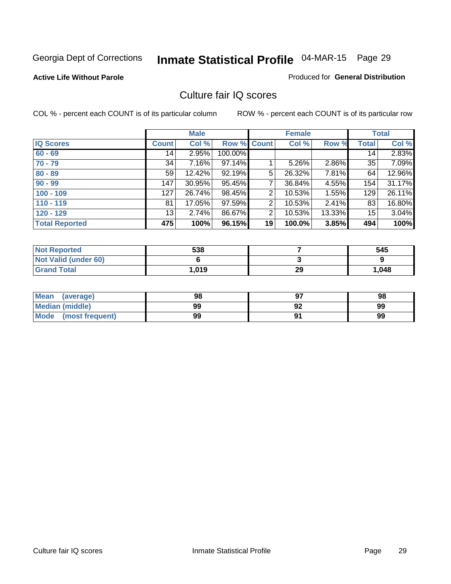#### **Active Life Without Parole**

#### Produced for **General Distribution**

### Culture fair IQ scores

|                       |              | <b>Male</b> |         |                | <b>Female</b> |          |              | <b>Total</b> |
|-----------------------|--------------|-------------|---------|----------------|---------------|----------|--------------|--------------|
| <b>IQ Scores</b>      | <b>Count</b> | Col %       | Row %   | <b>Count</b>   | Col %         | Row %    | <b>Total</b> | Col %        |
| $60 - 69$             | 14           | 2.95%       | 100.00% |                |               |          | 14           | 2.83%        |
| $70 - 79$             | 34           | 7.16%       | 97.14%  |                | 5.26%         | 2.86%    | 35           | 7.09%        |
| $80 - 89$             | 59           | $12.42\%$   | 92.19%  | 5              | 26.32%        | $7.81\%$ | 64           | 12.96%       |
| $90 - 99$             | 147          | 30.95%      | 95.45%  | 7              | 36.84%        | 4.55%    | 154          | 31.17%       |
| $100 - 109$           | 127          | 26.74%      | 98.45%  | 2              | 10.53%        | 1.55%    | 129          | 26.11%       |
| $110 - 119$           | 81           | 17.05%      | 97.59%  | 2              | 10.53%        | $2.41\%$ | 83           | 16.80%       |
| $120 - 129$           | 13           | 2.74%       | 86.67%  | $\overline{2}$ | 10.53%        | 13.33%   | 15           | 3.04%        |
| <b>Total Reported</b> | 475          | 100%        | 96.15%  | 19             | 100.0%        | 3.85%    | 494          | 100%         |

| <b>Not Reported</b>         | 538    |    | 545   |
|-----------------------------|--------|----|-------|
| <b>Not Valid (under 60)</b> |        |    |       |
| <b>Grand Total</b>          | 019, ا | 29 | 1,048 |

| <b>Mean</b><br>(average)       | 98 | 98 |
|--------------------------------|----|----|
| <b>Median (middle)</b>         | 99 | 99 |
| <b>Mode</b><br>(most frequent) | 99 | 99 |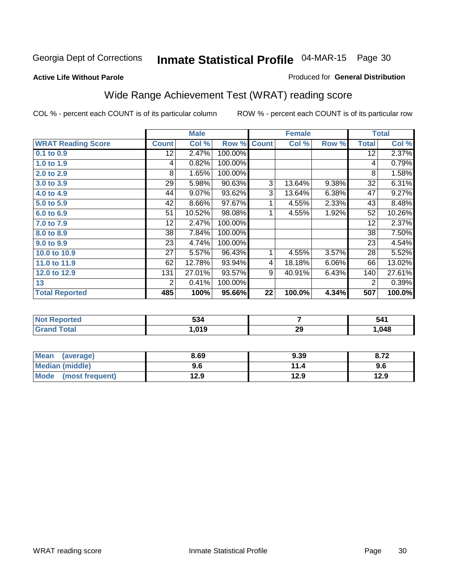#### **Active Life Without Parole**

#### Produced for **General Distribution**

### Wide Range Achievement Test (WRAT) reading score

|                           |                 | <b>Male</b> |         |              | <b>Female</b> |       |                 | <b>Total</b> |
|---------------------------|-----------------|-------------|---------|--------------|---------------|-------|-----------------|--------------|
| <b>WRAT Reading Score</b> | <b>Count</b>    | Col %       | Row %   | <b>Count</b> | Col %         | Row % | <b>Total</b>    | Col %        |
| 0.1 to 0.9                | $\overline{12}$ | 2.47%       | 100.00% |              |               |       | $\overline{12}$ | 2.37%        |
| 1.0 to 1.9                | 4               | 0.82%       | 100.00% |              |               |       | 4               | 0.79%        |
| 2.0 to 2.9                | 8               | 1.65%       | 100.00% |              |               |       | 8               | 1.58%        |
| 3.0 to 3.9                | 29              | 5.98%       | 90.63%  | 3            | 13.64%        | 9.38% | 32              | 6.31%        |
| 4.0 to 4.9                | 44              | 9.07%       | 93.62%  | 3            | 13.64%        | 6.38% | 47              | 9.27%        |
| 5.0 to 5.9                | 42              | 8.66%       | 97.67%  | 1            | 4.55%         | 2.33% | 43              | 8.48%        |
| 6.0 to 6.9                | 51              | 10.52%      | 98.08%  | 1            | 4.55%         | 1.92% | 52              | 10.26%       |
| 7.0 to 7.9                | 12              | 2.47%       | 100.00% |              |               |       | 12              | 2.37%        |
| 8.0 to 8.9                | 38              | 7.84%       | 100.00% |              |               |       | 38              | 7.50%        |
| 9.0 to 9.9                | 23              | 4.74%       | 100.00% |              |               |       | 23              | 4.54%        |
| 10.0 to 10.9              | 27              | 5.57%       | 96.43%  | 1            | 4.55%         | 3.57% | 28              | 5.52%        |
| 11.0 to 11.9              | 62              | 12.78%      | 93.94%  | 4            | 18.18%        | 6.06% | 66              | 13.02%       |
| 12.0 to 12.9              | 131             | 27.01%      | 93.57%  | 9            | 40.91%        | 6.43% | 140             | 27.61%       |
| 13                        | 2               | 0.41%       | 100.00% |              |               |       | $\overline{2}$  | 0.39%        |
| <b>Total Reported</b>     | 485             | 100%        | 95.66%  | 22           | 100.0%        | 4.34% | 507             | 100.0%       |

| orted                                      | -0<br>534 |    | 541  |
|--------------------------------------------|-----------|----|------|
| <b>otal</b><br>$\mathbf{v}$ . $\mathbf{u}$ | .019      | 29 | .048 |

| Mean<br>(average)              | 8.69 | 9.39 | 8.72 |
|--------------------------------|------|------|------|
| Median (middle)                | 9.6  | 11.4 | 9.6  |
| <b>Mode</b><br>(most frequent) | 12.9 | 12.9 | 12.9 |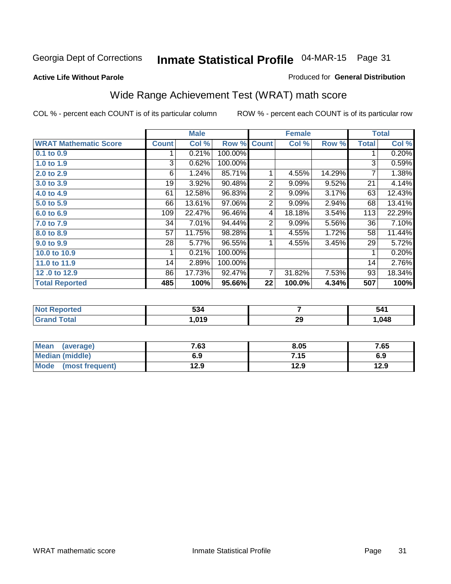**Active Life Without Parole** 

#### Produced for **General Distribution**

### Wide Range Achievement Test (WRAT) math score

|                              |              | <b>Male</b> |         |                | <b>Female</b> |        |              | <b>Total</b> |
|------------------------------|--------------|-------------|---------|----------------|---------------|--------|--------------|--------------|
| <b>WRAT Mathematic Score</b> | <b>Count</b> | Col %       | Row %   | <b>Count</b>   | Col %         | Row %  | <b>Total</b> | Col %        |
| 0.1 to 0.9                   |              | 0.21%       | 100.00% |                |               |        | 1            | 0.20%        |
| 1.0 to 1.9                   | 3            | 0.62%       | 100.00% |                |               |        | 3            | 0.59%        |
| 2.0 to 2.9                   | 6            | 1.24%       | 85.71%  | 1              | 4.55%         | 14.29% | 7            | 1.38%        |
| 3.0 to 3.9                   | 19           | 3.92%       | 90.48%  | $\overline{2}$ | 9.09%         | 9.52%  | 21           | 4.14%        |
| 4.0 to 4.9                   | 61           | 12.58%      | 96.83%  | 2              | 9.09%         | 3.17%  | 63           | 12.43%       |
| 5.0 to 5.9                   | 66           | 13.61%      | 97.06%  | 2              | 9.09%         | 2.94%  | 68           | 13.41%       |
| 6.0 to 6.9                   | 109          | 22.47%      | 96.46%  | 4              | 18.18%        | 3.54%  | 113          | 22.29%       |
| 7.0 to 7.9                   | 34           | 7.01%       | 94.44%  | 2              | 9.09%         | 5.56%  | 36           | 7.10%        |
| 8.0 to 8.9                   | 57           | 11.75%      | 98.28%  | 1              | 4.55%         | 1.72%  | 58           | 11.44%       |
| 9.0 to 9.9                   | 28           | 5.77%       | 96.55%  |                | 4.55%         | 3.45%  | 29           | 5.72%        |
| 10.0 to 10.9                 | 1            | 0.21%       | 100.00% |                |               |        | 1            | 0.20%        |
| 11.0 to 11.9                 | 14           | 2.89%       | 100.00% |                |               |        | 14           | 2.76%        |
| 12.0 to 12.9                 | 86           | 17.73%      | 92.47%  | 7              | 31.82%        | 7.53%  | 93           | 18.34%       |
| <b>Total Reported</b>        | 485          | 100%        | 95.66%  | 22             | 100.0%        | 4.34%  | 507          | 100%         |

|         | -^<br>ູບບາ |    | -541 |
|---------|------------|----|------|
| $- - -$ | .019       | 29 | .048 |

| <b>Mean</b><br>(average) | 7.63 | 8.05 | 7.65 |
|--------------------------|------|------|------|
| <b>Median (middle)</b>   | 6.9  | 7.15 | 6.9  |
| Mode<br>(most frequent)  | 12.9 | 12.9 | 12.9 |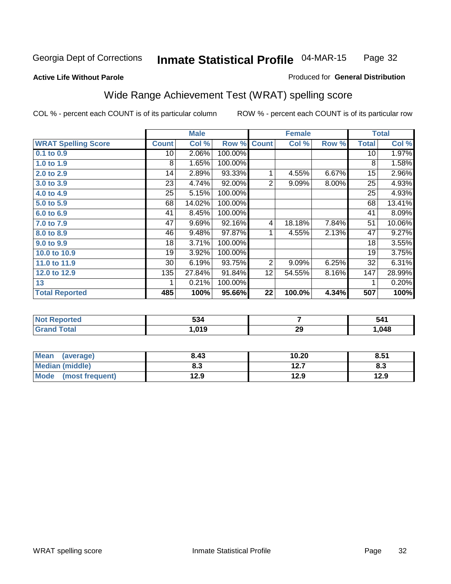#### **Active Life Without Parole**

#### Produced for **General Distribution**

### Wide Range Achievement Test (WRAT) spelling score

|                            |                 | <b>Male</b> |         |                | <b>Female</b> |          |              | <b>Total</b> |
|----------------------------|-----------------|-------------|---------|----------------|---------------|----------|--------------|--------------|
| <b>WRAT Spelling Score</b> | <b>Count</b>    | Col %       | Row %   | <b>Count</b>   | Col %         | Row %    | <b>Total</b> | Col %        |
| $0.1$ to 0.9               | 10              | 2.06%       | 100.00% |                |               |          | 10           | 1.97%        |
| 1.0 to 1.9                 | 8               | 1.65%       | 100.00% |                |               |          | 8            | 1.58%        |
| 2.0 to 2.9                 | 14              | 2.89%       | 93.33%  | 1              | 4.55%         | 6.67%    | 15           | 2.96%        |
| 3.0 to 3.9                 | 23              | 4.74%       | 92.00%  | 2              | 9.09%         | $8.00\%$ | 25           | 4.93%        |
| 4.0 to 4.9                 | 25              | 5.15%       | 100.00% |                |               |          | 25           | 4.93%        |
| 5.0 to 5.9                 | 68              | 14.02%      | 100.00% |                |               |          | 68           | 13.41%       |
| 6.0 to 6.9                 | 41              | 8.45%       | 100.00% |                |               |          | 41           | 8.09%        |
| 7.0 to 7.9                 | 47              | 9.69%       | 92.16%  | 4              | 18.18%        | 7.84%    | 51           | 10.06%       |
| 8.0 to 8.9                 | 46              | 9.48%       | 97.87%  | 1              | 4.55%         | 2.13%    | 47           | 9.27%        |
| 9.0 to 9.9                 | 18              | 3.71%       | 100.00% |                |               |          | 18           | 3.55%        |
| 10.0 to 10.9               | 19              | 3.92%       | 100.00% |                |               |          | 19           | 3.75%        |
| 11.0 to 11.9               | 30 <sup>°</sup> | 6.19%       | 93.75%  | $\overline{2}$ | 9.09%         | 6.25%    | 32           | 6.31%        |
| 12.0 to 12.9               | 135             | 27.84%      | 91.84%  | 12             | 54.55%        | 8.16%    | 147          | 28.99%       |
| 13                         | 1               | 0.21%       | 100.00% |                |               |          | 1            | 0.20%        |
| <b>Total Reported</b>      | 485             | 100%        | 95.66%  | 22             | 100.0%        | 4.34%    | 507          | 100%         |

| <b>Not Reported</b>     | 534    |    | 541  |
|-------------------------|--------|----|------|
| <b>Total</b><br>' Grand | 019، ، | 29 | .048 |

| <b>Mean</b><br>(average) | 8.43       | 10.20     | 8.51      |
|--------------------------|------------|-----------|-----------|
| <b>Median (middle)</b>   | פ ס<br>ი.ა | 1つ フ<br>. | о.<br>ი.ა |
| Mode<br>(most frequent)  | 12.9       | 12.9      | 12.9      |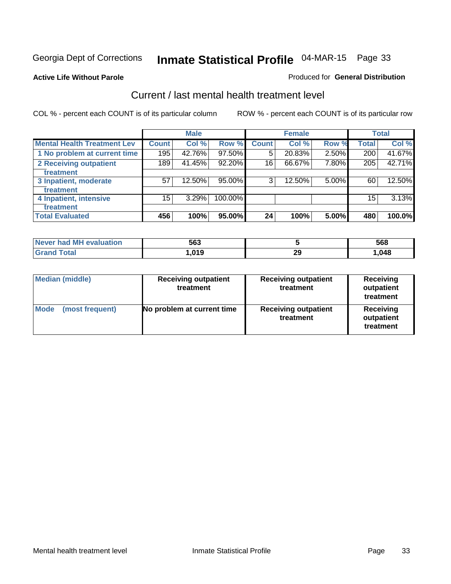#### **Active Life Without Parole**

#### Produced for **General Distribution**

### Current / last mental health treatment level

|                                    |                 | <b>Male</b> |         |              | <b>Female</b> |       |              | <b>Total</b> |
|------------------------------------|-----------------|-------------|---------|--------------|---------------|-------|--------------|--------------|
| <b>Mental Health Treatment Lev</b> | Count           | Col %       | Row %   | <b>Count</b> | Col %         | Row % | <b>Total</b> | Col %        |
| 1 No problem at current time       | 195             | 42.76%      | 97.50%  | 5            | 20.83%        | 2.50% | 200          | 41.67%       |
| 2 Receiving outpatient             | 189             | 41.45%      | 92.20%  | 16           | 66.67%        | 7.80% | 205          | 42.71%       |
| treatment                          |                 |             |         |              |               |       |              |              |
| 3 Inpatient, moderate              | 57              | 12.50%      | 95.00%  | 3            | 12.50%        | 5.00% | 60           | 12.50%       |
| treatment                          |                 |             |         |              |               |       |              |              |
| 4 Inpatient, intensive             | 15 <sub>1</sub> | 3.29%       | 100.00% |              |               |       | 15           | 3.13%        |
| treatment                          |                 |             |         |              |               |       |              |              |
| <b>Total Evaluated</b>             | 456             | 100%        | 95.00%  | 24           | 100%          | 5.00% | 480          | 100.0%       |

| Never had MH evaluation | 563                          |           | 568  |
|-------------------------|------------------------------|-----------|------|
| Total                   | . A <sub>c</sub><br>. .U I J | nr.<br>∠ะ | .048 |

| <b>Median (middle)</b>         | <b>Receiving outpatient</b><br>treatment |                                          | <b>Receiving</b><br>outpatient<br>treatment |  |
|--------------------------------|------------------------------------------|------------------------------------------|---------------------------------------------|--|
| <b>Mode</b><br>(most frequent) | No problem at current time               | <b>Receiving outpatient</b><br>treatment | Receiving<br>outpatient<br>treatment        |  |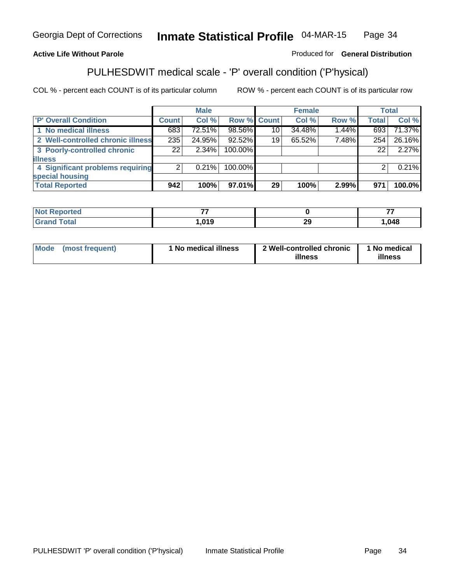#### **Active Life Without Parole**

#### Produced for **General Distribution**

### PULHESDWIT medical scale - 'P' overall condition ('P'hysical)

|                                   |                 | <b>Male</b> |                    |    | <b>Female</b> |       |              | <b>Total</b> |
|-----------------------------------|-----------------|-------------|--------------------|----|---------------|-------|--------------|--------------|
| 'P' Overall Condition             | <b>Count</b>    | Col %       | <b>Row % Count</b> |    | Col %         | Row % | <b>Total</b> | Col %        |
| 1 No medical illness              | 683             | 72.51%      | 98.56%             | 10 | 34.48%        | 1.44% | 693          | 71.37%       |
| 2 Well-controlled chronic illness | 235             | 24.95%      | 92.52%             | 19 | 65.52%        | 7.48% | 254          | 26.16%       |
| 3 Poorly-controlled chronic       | 22 <sub>1</sub> | $2.34\%$    | 100.00%            |    |               |       | 22           | 2.27%        |
| <b>illness</b>                    |                 |             |                    |    |               |       |              |              |
| 4 Significant problems requiring  | 2               | $0.21\%$    | 100.00%            |    |               |       | 2            | 0.21%        |
| special housing                   |                 |             |                    |    |               |       |              |              |
| <b>Total Reported</b>             | 942             | 100%        | 97.01%             | 29 | 100%          | 2.99% | 971          | 100.0%       |

| <b>Not</b> K<br>Reported |      |          | --    |
|--------------------------|------|----------|-------|
| <b>Grand Total</b>       | ,019 | or<br>-- | 1,048 |

| ' No medical illness<br><b>Mode</b><br>(most frequent) | 2 Well-controlled chronic<br>illness | 1 No medical<br>illness |
|--------------------------------------------------------|--------------------------------------|-------------------------|
|--------------------------------------------------------|--------------------------------------|-------------------------|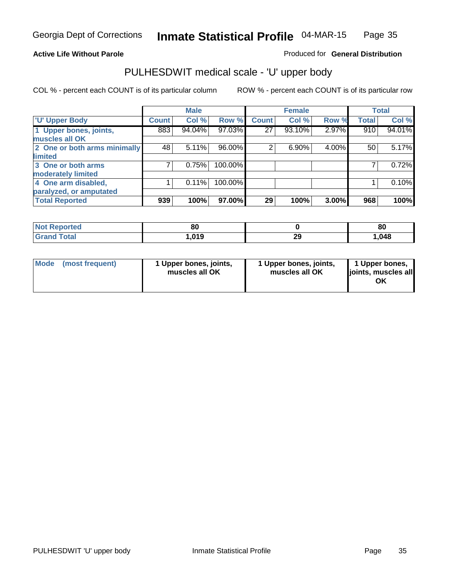#### **Active Life Without Parole**

#### Produced for **General Distribution**

### PULHESDWIT medical scale - 'U' upper body

|                              |              | <b>Male</b> |         |              | <b>Female</b> |       |              | <b>Total</b> |
|------------------------------|--------------|-------------|---------|--------------|---------------|-------|--------------|--------------|
| <b>U' Upper Body</b>         | <b>Count</b> | Col %       | Row %   | <b>Count</b> | Col %         | Row % | <b>Total</b> | Col %        |
| 1 Upper bones, joints,       | 883          | 94.04%      | 97.03%  | 27           | 93.10%        | 2.97% | 910          | 94.01%       |
| muscles all OK               |              |             |         |              |               |       |              |              |
| 2 One or both arms minimally | 48           | 5.11%       | 96.00%  | 2            | 6.90%         | 4.00% | 50           | 5.17%        |
| limited                      |              |             |         |              |               |       |              |              |
| 3 One or both arms           |              | 0.75%       | 100.00% |              |               |       |              | 0.72%        |
| moderately limited           |              |             |         |              |               |       |              |              |
| 4 One arm disabled,          |              | 0.11%       | 100.00% |              |               |       |              | 0.10%        |
| paralyzed, or amputated      |              |             |         |              |               |       |              |              |
| <b>Total Reported</b>        | 939          | 100%        | 97.00%  | 29           | 100%          | 3.00% | 968          | 100%         |

| пео<br>- IN 6 | ou     |           | 80   |
|---------------|--------|-----------|------|
| 565           | 019، ، | הה<br>ZJ. | .048 |

|  | Mode (most frequent) | 1 Upper bones, joints,<br>muscles all OK | 1 Upper bones, joints,<br>muscles all OK | 1 Upper bones,<br>joints, muscles all<br>OK |
|--|----------------------|------------------------------------------|------------------------------------------|---------------------------------------------|
|--|----------------------|------------------------------------------|------------------------------------------|---------------------------------------------|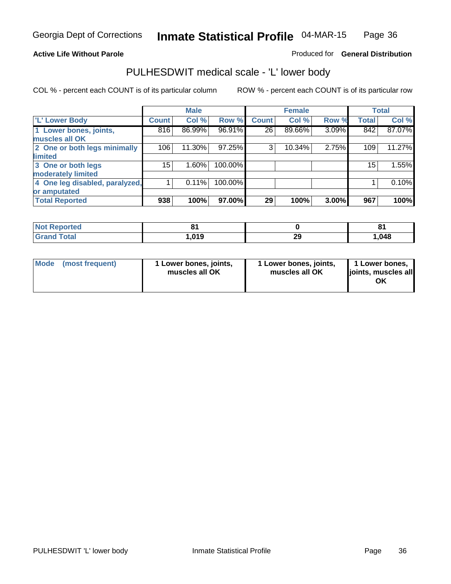#### **Active Life Without Parole**

#### Produced for **General Distribution**

### PULHESDWIT medical scale - 'L' lower body

|                                |                 | <b>Male</b> |           |              | <b>Female</b> |       |              | <b>Total</b> |
|--------------------------------|-----------------|-------------|-----------|--------------|---------------|-------|--------------|--------------|
| 'L' Lower Body                 | <b>Count</b>    | Col %       | Row %     | <b>Count</b> | Col %         | Row % | <b>Total</b> | Col %        |
| 1 Lower bones, joints,         | 816             | 86.99%      | 96.91%    | 26           | 89.66%        | 3.09% | 842          | 87.07%       |
| muscles all OK                 |                 |             |           |              |               |       |              |              |
| 2 One or both legs minimally   | 106             | 11.30%      | $97.25\%$ | 3            | 10.34%        | 2.75% | 109          | 11.27%       |
| limited                        |                 |             |           |              |               |       |              |              |
| 3 One or both legs             | 15 <sub>1</sub> | 1.60%       | 100.00%   |              |               |       | 15           | 1.55%        |
| moderately limited             |                 |             |           |              |               |       |              |              |
| 4 One leg disabled, paralyzed, |                 | 0.11%       | 100.00%   |              |               |       |              | 0.10%        |
| or amputated                   |                 |             |           |              |               |       |              |              |
| <b>Total Reported</b>          | 938             | 100%        | 97.00%    | 29           | 100%          | 3.00% | 967          | 100%         |

| n eo<br><b>N</b> | $\sim$ $\sim$ |           | о,<br>$\sim$ . |
|------------------|---------------|-----------|----------------|
| $f$ $f \circ f$  | 019، ،        | הה<br>ZJ. | .048           |

|  | Mode (most frequent) | 1 Lower bones, joints,<br>muscles all OK | 1 Lower bones, joints,<br>muscles all OK | 1 Lower bones,<br>joints, muscles all<br>OK |
|--|----------------------|------------------------------------------|------------------------------------------|---------------------------------------------|
|--|----------------------|------------------------------------------|------------------------------------------|---------------------------------------------|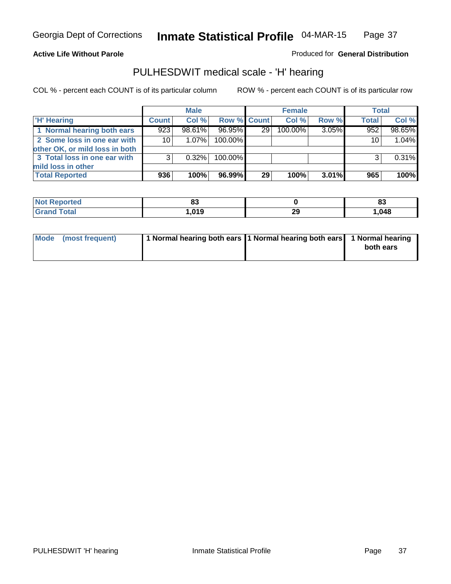#### **Active Life Without Parole**

Produced for **General Distribution**

### PULHESDWIT medical scale - 'H' hearing

|                                |                 | <b>Male</b> |             |                 | <b>Female</b> |       | <b>Total</b> |        |
|--------------------------------|-----------------|-------------|-------------|-----------------|---------------|-------|--------------|--------|
| <b>H'</b> Hearing              | <b>Count</b>    | Col %       | Row % Count |                 | Col %         | Row % | <b>Total</b> | Col %  |
| 1 Normal hearing both ears     | 923             | 98.61%      | 96.95%      | 29 <sub>1</sub> | 100.00%       | 3.05% | 952          | 98.65% |
| 2 Some loss in one ear with    | 10 <sup>1</sup> | 1.07%       | 100.00%     |                 |               |       | 10           | 1.04%  |
| other OK, or mild loss in both |                 |             |             |                 |               |       |              |        |
| 3 Total loss in one ear with   | 3               | $0.32\%$    | 100.00%     |                 |               |       | ົ            | 0.31%  |
| mild loss in other             |                 |             |             |                 |               |       |              |        |
| <b>Total Reported</b>          | 936             | 100%        | 96.99%      | 29              | 100%          | 3.01% | 965          | 100%   |

| <b>Not</b><br><b>ported</b><br>ner | uu                |            | $\mathbf{r}$<br>oa |
|------------------------------------|-------------------|------------|--------------------|
| Total                              | <b>010</b><br>- 1 | nr.<br>- 3 | .048               |

| Mode (most frequent) | 1 Normal hearing both ears   1 Normal hearing both ears   1 Normal hearing |           |
|----------------------|----------------------------------------------------------------------------|-----------|
|                      |                                                                            | both ears |
|                      |                                                                            |           |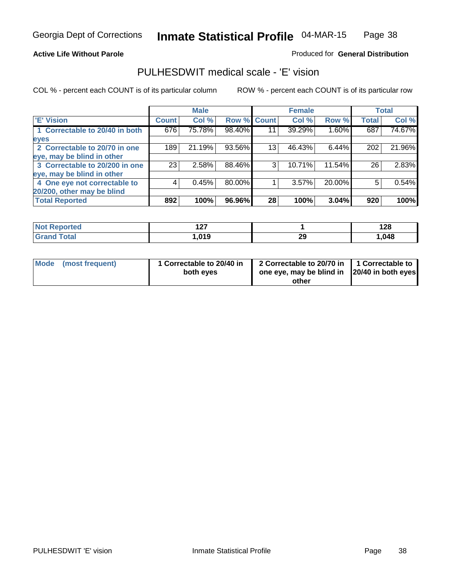#### **Active Life Without Parole**

#### Produced for **General Distribution**

### PULHESDWIT medical scale - 'E' vision

|                                |              | <b>Male</b> |             |    | <b>Female</b> |        |              | <b>Total</b> |
|--------------------------------|--------------|-------------|-------------|----|---------------|--------|--------------|--------------|
| <b>E' Vision</b>               | <b>Count</b> | Col %       | Row % Count |    | Col %         | Row %  | <b>Total</b> | Col %        |
| 1 Correctable to 20/40 in both | 676          | 75.78%      | 98.40%      | 11 | 39.29%        | 1.60%  | 687          | 74.67%       |
| eyes                           |              |             |             |    |               |        |              |              |
| 2 Correctable to 20/70 in one  | 189          | 21.19%      | 93.56%      | 13 | 46.43%        | 6.44%  | 202          | 21.96%       |
| eye, may be blind in other     |              |             |             |    |               |        |              |              |
| 3 Correctable to 20/200 in one | 23           | 2.58%       | 88.46%      | 3  | 10.71%        | 11.54% | 26           | 2.83%        |
| eye, may be blind in other     |              |             |             |    |               |        |              |              |
| 4 One eye not correctable to   |              | 0.45%       | 80.00%      |    | 3.57%         | 20.00% | 5            | 0.54%        |
| 20/200, other may be blind     |              |             |             |    |               |        |              |              |
| <b>Total Reported</b>          | 892          | 100%        | 96.96%      | 28 | 100%          | 3.04%  | 920          | 100%         |

| <b>Not Reported</b>  | 107<br>. |    | 128  |
|----------------------|----------|----|------|
| <b>Total</b><br>Cron | .019     | 29 | .048 |

| Mode (most frequent) | 1 Correctable to 20/40 in<br>both eyes | 2 Correctable to 20/70 in   1 Correctable to<br>one eye, may be blind in  20/40 in both eyes |  |
|----------------------|----------------------------------------|----------------------------------------------------------------------------------------------|--|
|                      |                                        | other                                                                                        |  |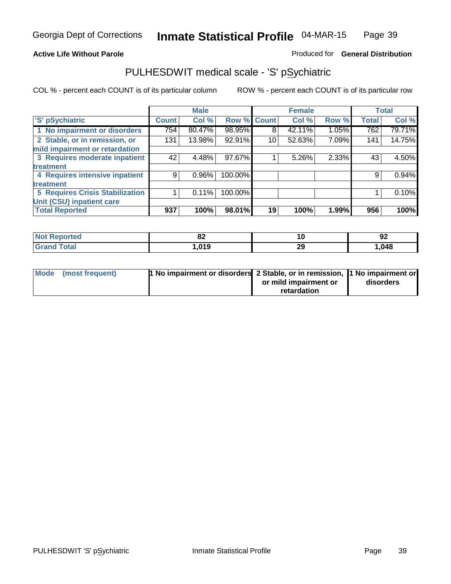### **Active Life Without Parole**

### Produced for **General Distribution**

### PULHESDWIT medical scale - 'S' pSychiatric

|                                        |              | <b>Male</b> |         |                 | <b>Female</b> |       |              | <b>Total</b> |
|----------------------------------------|--------------|-------------|---------|-----------------|---------------|-------|--------------|--------------|
| 'S' pSychiatric                        | <b>Count</b> | Col %       |         | Row % Count     | Col %         | Row % | <b>Total</b> | Col %        |
| 1 No impairment or disorders           | 754          | 80.47%      | 98.95%  | 8               | 42.11%        | 1.05% | 762          | 79.71%       |
| 2 Stable, or in remission, or          | 131          | 13.98%      | 92.91%  | 10 <sub>1</sub> | 52.63%        | 7.09% | 141          | 14.75%       |
| mild impairment or retardation         |              |             |         |                 |               |       |              |              |
| 3 Requires moderate inpatient          | 42           | 4.48%       | 97.67%  |                 | 5.26%         | 2.33% | 43           | 4.50%        |
| treatment                              |              |             |         |                 |               |       |              |              |
| 4 Requires intensive inpatient         | 9            | $0.96\%$    | 100.00% |                 |               |       | 9            | 0.94%        |
| treatment                              |              |             |         |                 |               |       |              |              |
| <b>5 Requires Crisis Stabilization</b> |              | 0.11%       | 100.00% |                 |               |       |              | 0.10%        |
| Unit (CSU) inpatient care              |              |             |         |                 |               |       |              |              |
| <b>Total Reported</b>                  | 937          | 100%        | 98.01%  | 19              | 100%          | 1.99% | 956          | 100%         |

| o.<br><u>uz</u> |    | $\sim$<br>. .<br>94 |
|-----------------|----|---------------------|
| <b>010</b><br>. | 29 | ,048                |

| Mode (most frequent) | 1 No impairment or disorders 2 Stable, or in remission, 1 No impairment or |                       |           |
|----------------------|----------------------------------------------------------------------------|-----------------------|-----------|
|                      |                                                                            | or mild impairment or | disorders |
|                      |                                                                            | retardation           |           |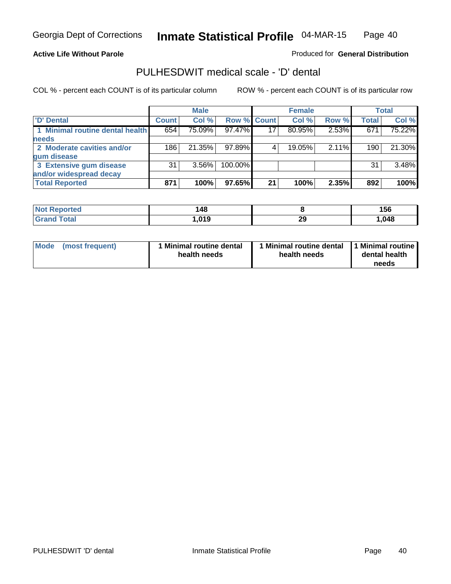#### **Active Life Without Parole**

#### Produced for **General Distribution**

### PULHESDWIT medical scale - 'D' dental

|                                 |              | <b>Male</b> |                    |    | <b>Female</b> |       |              | Total  |
|---------------------------------|--------------|-------------|--------------------|----|---------------|-------|--------------|--------|
| <b>D' Dental</b>                | <b>Count</b> | Col %       | <b>Row % Count</b> |    | Col %         | Row % | <b>Total</b> | Col %  |
| 1 Minimal routine dental health | 654          | 75.09%      | 97.47%             | 17 | 80.95%        | 2.53% | 671          | 75.22% |
| <b>needs</b>                    |              |             |                    |    |               |       |              |        |
| 2 Moderate cavities and/or      | 186          | 21.35%      | 97.89%             |    | 19.05%        | 2.11% | 190          | 21.30% |
| gum disease                     |              |             |                    |    |               |       |              |        |
| 3 Extensive gum disease         | 31           | $3.56\%$    | 100.00%            |    |               |       | 31           | 3.48%  |
| and/or widespread decay         |              |             |                    |    |               |       |              |        |
| <b>Total Reported</b>           | 871          | 100%        | 97.65%             | 21 | 100%          | 2.35% | 892          | 100%   |

| <b>rted</b><br>N | 148  |           | 156  |
|------------------|------|-----------|------|
| otal             | .019 | nr.<br>23 | ,048 |

| Mode (most frequent) | <b>Minimal routine dental</b><br>health needs | I Minimal routine dental<br>health needs | 1 Minimal routine  <br>dental health<br>needs |
|----------------------|-----------------------------------------------|------------------------------------------|-----------------------------------------------|
|----------------------|-----------------------------------------------|------------------------------------------|-----------------------------------------------|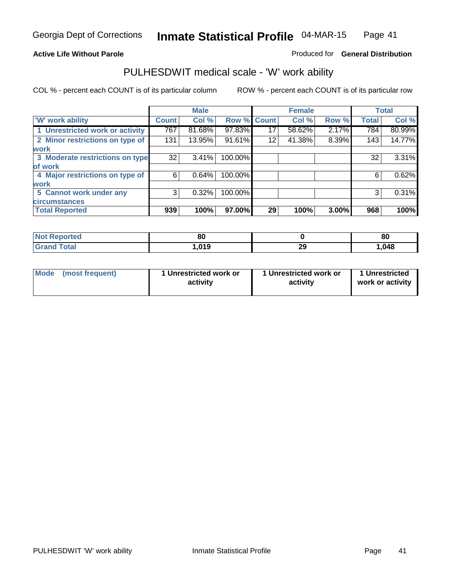### **Active Life Without Parole**

### Produced for **General Distribution**

### PULHESDWIT medical scale - 'W' work ability

|                                 |              | <b>Male</b> |         |             | <b>Female</b> |       |              | <b>Total</b> |
|---------------------------------|--------------|-------------|---------|-------------|---------------|-------|--------------|--------------|
| <b>W' work ability</b>          | <b>Count</b> | Col %       |         | Row % Count | Col %         | Row % | <b>Total</b> | Col %        |
| 1 Unrestricted work or activity | 767          | 81.68%      | 97.83%  | 17          | 58.62%        | 2.17% | 784          | 80.99%       |
| 2 Minor restrictions on type of | 131          | 13.95%      | 91.61%  | 12          | 41.38%        | 8.39% | 143          | 14.77%       |
| <b>work</b>                     |              |             |         |             |               |       |              |              |
| 3 Moderate restrictions on type | 32           | 3.41%       | 100.00% |             |               |       | 32           | 3.31%        |
| of work                         |              |             |         |             |               |       |              |              |
| 4 Major restrictions on type of | 6            | 0.64%       | 100.00% |             |               |       | 6            | 0.62%        |
| <b>work</b>                     |              |             |         |             |               |       |              |              |
| 5 Cannot work under any         | 3            | 0.32%       | 100.00% |             |               |       | 3            | 0.31%        |
| <b>circumstances</b>            |              |             |         |             |               |       |              |              |
| <b>Total Reported</b>           | 939          | 100%        | 97.00%  | 29          | 100%          | 3.00% | 968          | 100%         |

| <b>Poorted</b> | 80            |           | 80     |
|----------------|---------------|-----------|--------|
| <b>Total</b>   | 01 O<br>u . 3 | nr.<br>ΖJ | 048, ا |

| Mode | (most frequent) | 1 Unrestricted work or<br>activity | 1 Unrestricted work or<br>activity | 1 Unrestricted<br>work or activity |
|------|-----------------|------------------------------------|------------------------------------|------------------------------------|
|------|-----------------|------------------------------------|------------------------------------|------------------------------------|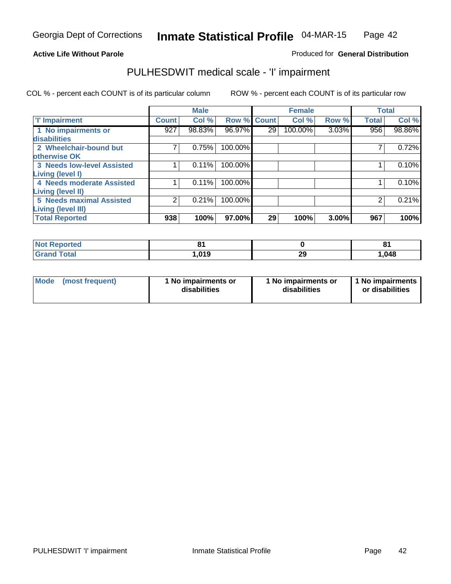#### **Active Life Without Parole**

#### Produced for **General Distribution**

### PULHESDWIT medical scale - 'I' impairment

|                                   |                | <b>Male</b> |         |              | <b>Female</b> |       | <b>Total</b> |        |
|-----------------------------------|----------------|-------------|---------|--------------|---------------|-------|--------------|--------|
| <b>T' Impairment</b>              | <b>Count</b>   | Col %       | Row %   | <b>Count</b> | Col %         | Row % | <b>Total</b> | Col %  |
| 1 No impairments or               | 927            | 98.83%      | 96.97%  | 29           | 100.00%       | 3.03% | 956          | 98.86% |
| disabilities                      |                |             |         |              |               |       |              |        |
| 2 Wheelchair-bound but            |                | 0.75%       | 100.00% |              |               |       |              | 0.72%  |
| otherwise OK                      |                |             |         |              |               |       |              |        |
| <b>3 Needs low-level Assisted</b> |                | 0.11%       | 100.00% |              |               |       |              | 0.10%  |
| Living (level I)                  |                |             |         |              |               |       |              |        |
| 4 Needs moderate Assisted         |                | 0.11%       | 100.00% |              |               |       |              | 0.10%  |
| <b>Living (level II)</b>          |                |             |         |              |               |       |              |        |
| <b>5 Needs maximal Assisted</b>   | $\overline{2}$ | 0.21%       | 100.00% |              |               |       | 2            | 0.21%  |
| <b>Living (level III)</b>         |                |             |         |              |               |       |              |        |
| <b>Total Reported</b>             | 938            | 100%        | 97.00%  | 29           | 100%          | 3.00% | 967          | 100%   |

| Reported                     | o,<br>- - |          | о,<br>0 I |
|------------------------------|-----------|----------|-----------|
| <b>Total</b><br><b>Grand</b> | 019, ا    | 20<br>29 | 1,048     |

| Mode | (most frequent) | 1 No impairments or<br>disabilities | 1 No impairments or<br>disabilities | 1 1 No impairments<br>or disabilities |
|------|-----------------|-------------------------------------|-------------------------------------|---------------------------------------|
|------|-----------------|-------------------------------------|-------------------------------------|---------------------------------------|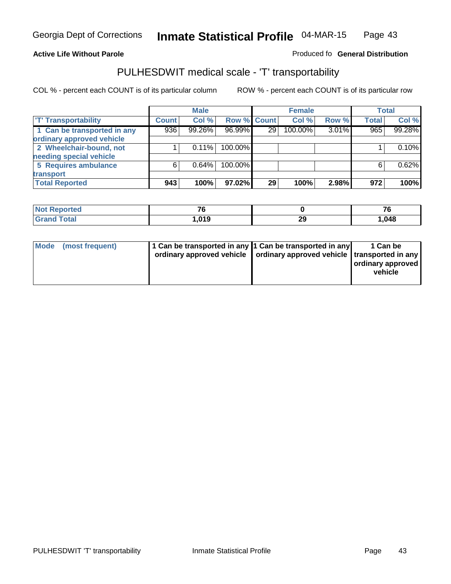#### **Inmate Statistical Profile** 04-MAR-15 Page Page 43

### **Active Life Without Parole Produced fo Seneral Distribution**

### PULHESDWIT medical scale - 'T' transportability

|                             |              | <b>Male</b> |             |                 | <b>Female</b> |       |              | <b>Total</b> |
|-----------------------------|--------------|-------------|-------------|-----------------|---------------|-------|--------------|--------------|
| <b>T' Transportability</b>  | <b>Count</b> | Col %       | Row % Count |                 | Col %         | Row % | <b>Total</b> | Col %        |
| 1 Can be transported in any | 936          | 99.26%      | 96.99%      | 29 <sub>1</sub> | 100.00%       | 3.01% | 965          | 99.28%       |
| ordinary approved vehicle   |              |             |             |                 |               |       |              |              |
| 2 Wheelchair-bound, not     |              | 0.11%       | 100.00%     |                 |               |       |              | 0.10%        |
| needing special vehicle     |              |             |             |                 |               |       |              |              |
| 5 Requires ambulance        | 6            | 0.64%       | 100.00%     |                 |               |       | 6            | 0.62%        |
| transport                   |              |             |             |                 |               |       |              |              |
| <b>Total Reported</b>       | 943          | 100%        | 97.02%      | 29              | 100%          | 2.98% | 972          | 100%         |

| <b>Not</b><br>Reported | - -        |         | $\sim$ |
|------------------------|------------|---------|--------|
| <b>Total</b>           | 040<br>. . | ົ<br>23 | 1,048  |

| 1 Can be transported in any 1 Can be transported in any                    | 1 Can be          |
|----------------------------------------------------------------------------|-------------------|
| Mode (most frequent)                                                       | ordinary approved |
| ordinary approved vehicle   ordinary approved vehicle   transported in any | vehicle           |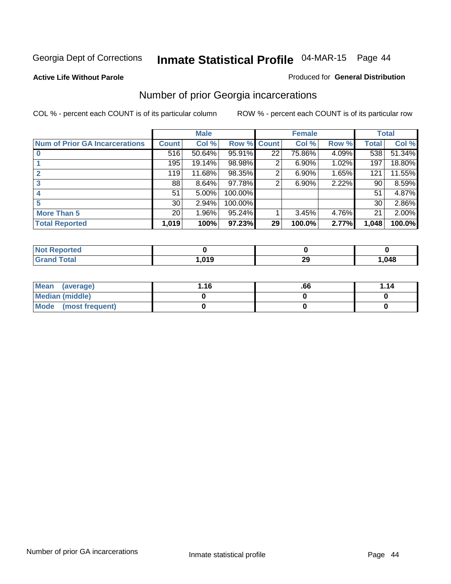#### **Active Life Without Parole**

#### Produced for **General Distribution**

### Number of prior Georgia incarcerations

|                                       |                 | <b>Male</b> |         |              | <b>Female</b> |       |       | <b>Total</b> |
|---------------------------------------|-----------------|-------------|---------|--------------|---------------|-------|-------|--------------|
| <b>Num of Prior GA Incarcerations</b> | <b>Count</b>    | Col %       | Row %   | <b>Count</b> | Col %         | Row % | Total | Col %        |
|                                       | 516             | 50.64%      | 95.91%  | 22           | 75.86%        | 4.09% | 538   | 51.34%       |
|                                       | 195             | 19.14%      | 98.98%  | 2            | 6.90%         | 1.02% | 197   | 18.80%       |
|                                       | 119             | 11.68%      | 98.35%  | 2            | 6.90%         | 1.65% | 121   | 11.55%       |
| 3                                     | 88              | 8.64%       | 97.78%  | 2            | 6.90%         | 2.22% | 90    | 8.59%        |
|                                       | 51              | 5.00%       | 100.00% |              |               |       | 51    | 4.87%        |
| 5                                     | 30 <sup>1</sup> | 2.94%       | 100.00% |              |               |       | 30    | 2.86%        |
| <b>More Than 5</b>                    | 20 <sup>1</sup> | 1.96%       | 95.24%  |              | 3.45%         | 4.76% | 21    | 2.00%        |
| <b>Total Reported</b>                 | 1,019           | 100%        | 97.23%  | 29           | 100.0%        | 2.77% | 1,048 | 100.0%       |

| <b>Reported</b><br><b>NOT</b> |              |     |      |
|-------------------------------|--------------|-----|------|
| <b>ctal</b>                   | $\mathbf{A}$ | ה ה | .048 |
| uuu                           | - 1          | - 2 |      |

| Mean (average)       | 1.16 | .66 | 1.14 |
|----------------------|------|-----|------|
| Median (middle)      |      |     |      |
| Mode (most frequent) |      |     |      |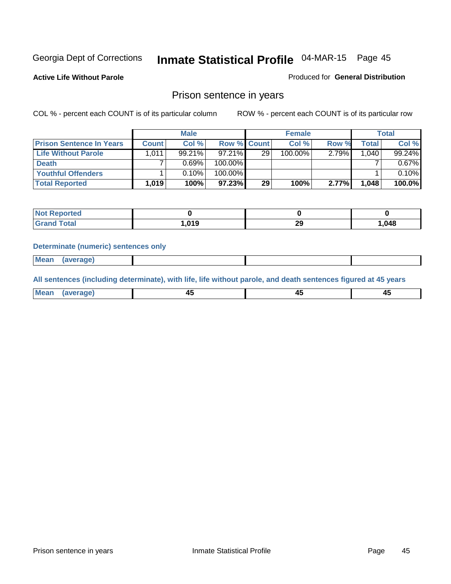**Active Life Without Parole** 

Produced for **General Distribution**

### Prison sentence in years

COL % - percent each COUNT is of its particular column ROW % - percent each COUNT is of its particular row

|                                 |              | <b>Male</b> |                    |    | <b>Female</b> |          |        | <b>Total</b> |
|---------------------------------|--------------|-------------|--------------------|----|---------------|----------|--------|--------------|
| <b>Prison Sentence In Years</b> | <b>Count</b> | Col %       | <b>Row % Count</b> |    | Col %         | Row %    | Total  | Col %        |
| Life Without Parole             | 1,011        | $99.21\%$   | $97.21\%$          | 29 | 100.00%       | $2.79\%$ | ا 040. | 99.24%       |
| <b>Death</b>                    |              | 0.69%       | 100.00%            |    |               |          |        | 0.67%        |
| <b>Youthful Offenders</b>       |              | 0.10%       | 100.00%            |    |               |          |        | 0.10%        |
| <b>Total Reported</b>           | 1,019        | 100%        | 97.23%             | 29 | 100%          | 2.77%    | 1,048  | 100.0%       |

| <b>NOT</b><br>ported |       |          |        |
|----------------------|-------|----------|--------|
| otal                 | 019،، | າເ<br>23 | 048. ا |

#### **Determinate (numeric) sentences only**

 **Mean (average)**

**All sentences (including determinate), with life, life without parole, and death sentences figured at 45 years**

| Mear. | averade) | . .<br>л.<br>᠇֊ | л.<br>-- |
|-------|----------|-----------------|----------|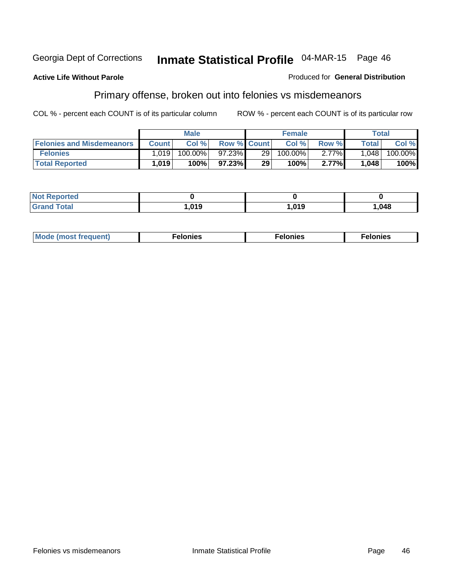#### **Active Life Without Parole**

#### Produced for **General Distribution**

### Primary offense, broken out into felonies vs misdemeanors

|                                  |              | <b>Male</b> |                    |     | <b>Female</b> |          |              | Total   |
|----------------------------------|--------------|-------------|--------------------|-----|---------------|----------|--------------|---------|
| <b>Felonies and Misdemeanors</b> | <b>Count</b> | Col %       | <b>Row % Count</b> |     | Col%          | Row %    | <b>Total</b> | Col %   |
| <b>Felonies</b>                  | 1.0191       | $100.00\%$  | 97.23%             | 291 | 100.00%       | $2.77\%$ | 1.048        | 100.00% |
| <b>Total Reported</b>            | 1,019        | 100%        | 97.23%             | 29  | 100%          | 2.77%    | 1,048        | 100%    |

| <b>Not Reported</b>          |       |      |        |
|------------------------------|-------|------|--------|
| <b>Total</b><br><b>Grano</b> | 1,019 | .019 | 048، ، |

| M <sub>0</sub><br>. | าเe⊾<br>. | . |
|---------------------|-----------|---|
|---------------------|-----------|---|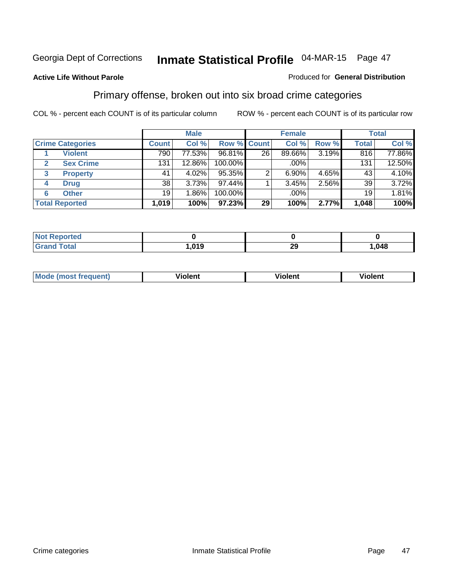#### **Active Life Without Parole**

#### Produced for **General Distribution**

### Primary offense, broken out into six broad crime categories

|                         |              | <b>Male</b> |                    |    | <b>Female</b> |       |                 | <b>Total</b> |
|-------------------------|--------------|-------------|--------------------|----|---------------|-------|-----------------|--------------|
| <b>Crime Categories</b> | <b>Count</b> | Col %       | <b>Row % Count</b> |    | Col %         | Row % | <b>Total</b>    | Col %        |
| <b>Violent</b>          | 790          | 77.53%      | 96.81%             | 26 | 89.66%        | 3.19% | 816             | 77.86%       |
| <b>Sex Crime</b><br>2   | 131          | 12.86%      | 100.00%            |    | .00%          |       | 131             | 12.50%       |
| <b>Property</b><br>3    | 41           | 4.02%       | 95.35%             |    | $6.90\%$      | 4.65% | 43              | 4.10%        |
| <b>Drug</b><br>4        | 38           | 3.73%       | 97.44%             |    | 3.45%         | 2.56% | 39              | 3.72%        |
| <b>Other</b><br>6       | 19           | $1.86\%$    | 100.00%            |    | .00%          |       | 19 <sup>1</sup> | 1.81%        |
| <b>Total Reported</b>   | 1,019        | 100%        | 97.23%             | 29 | 100%          | 2.77% | 1,048           | 100%         |

| <b>Not Reported</b> |      |          |       |
|---------------------|------|----------|-------|
| <b>Grand Total</b>  | .019 | ററ<br>49 | 1,048 |

| Mo | n n | winlor" | ılen' |
|----|-----|---------|-------|
|    |     |         |       |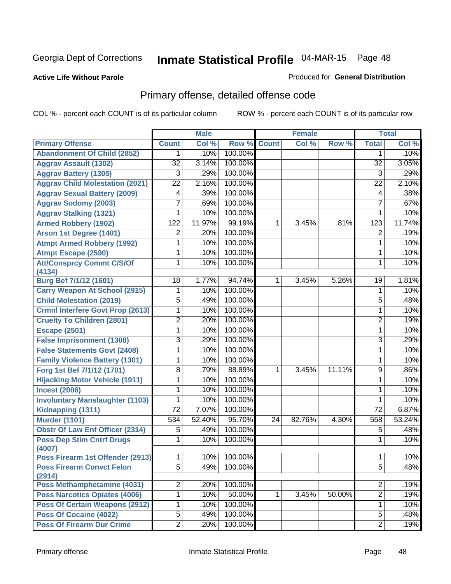#### **Active Life Without Parole**

#### Produced for **General Distribution**

### Primary offense, detailed offense code

|                                            |                  | <b>Male</b> |         |              | <b>Female</b> |        |                 | <b>Total</b> |
|--------------------------------------------|------------------|-------------|---------|--------------|---------------|--------|-----------------|--------------|
| <b>Primary Offense</b>                     | <b>Count</b>     | Col %       | Row %   | <b>Count</b> | Col %         | Row %  | <b>Total</b>    | Col %        |
| <b>Abandonment Of Child (2852)</b>         | 1                | .10%        | 100.00% |              |               |        | 1               | .10%         |
| <b>Aggrav Assault (1302)</b>               | $\overline{32}$  | 3.14%       | 100.00% |              |               |        | $\overline{32}$ | 3.05%        |
| <b>Aggrav Battery (1305)</b>               | $\overline{3}$   | .29%        | 100.00% |              |               |        | $\overline{3}$  | .29%         |
| <b>Aggrav Child Molestation (2021)</b>     | $\overline{22}$  | 2.16%       | 100.00% |              |               |        | $\overline{22}$ | 2.10%        |
| <b>Aggrav Sexual Battery (2009)</b>        | 4                | .39%        | 100.00% |              |               |        | 4               | .38%         |
| <b>Aggrav Sodomy (2003)</b>                | 7                | .69%        | 100.00% |              |               |        | $\overline{7}$  | .67%         |
| <b>Aggrav Stalking (1321)</b>              | 1                | .10%        | 100.00% |              |               |        | 1               | .10%         |
| <b>Armed Robbery (1902)</b>                | $\overline{122}$ | 11.97%      | 99.19%  | 1            | 3.45%         | .81%   | 123             | 11.74%       |
| Arson 1st Degree (1401)                    | 2                | .20%        | 100.00% |              |               |        | $\overline{2}$  | .19%         |
| <b>Atmpt Armed Robbery (1992)</b>          | 1                | .10%        | 100.00% |              |               |        | 1               | .10%         |
| <b>Atmpt Escape (2590)</b>                 | 1                | .10%        | 100.00% |              |               |        | 1               | .10%         |
| <b>Att/Consprcy Commt C/S/Of</b>           | 1                | .10%        | 100.00% |              |               |        | 1               | .10%         |
| (4134)                                     |                  |             |         |              |               |        |                 |              |
| Burg Bef 7/1/12 (1601)                     | 18               | 1.77%       | 94.74%  | 1            | 3.45%         | 5.26%  | 19              | 1.81%        |
| <b>Carry Weapon At School (2915)</b>       | 1                | .10%        | 100.00% |              |               |        | 1               | .10%         |
| <b>Child Molestation (2019)</b>            | $\overline{5}$   | .49%        | 100.00% |              |               |        | 5               | .48%         |
| <b>Crmnl Interfere Govt Prop (2613)</b>    | 1                | .10%        | 100.00% |              |               |        | 1               | .10%         |
| <b>Cruelty To Children (2801)</b>          | $\overline{2}$   | .20%        | 100.00% |              |               |        | 2               | .19%         |
| <b>Escape (2501)</b>                       | 1                | .10%        | 100.00% |              |               |        | 1               | .10%         |
| <b>False Imprisonment (1308)</b>           | 3                | .29%        | 100.00% |              |               |        | 3               | .29%         |
| <b>False Statements Govt (2408)</b>        | 1                | .10%        | 100.00% |              |               |        | 1               | .10%         |
| <b>Family Violence Battery (1301)</b>      | 1                | .10%        | 100.00% |              |               |        | 1               | .10%         |
| Forg 1st Bef 7/1/12 (1701)                 | 8                | .79%        | 88.89%  | 1            | 3.45%         | 11.11% | 9               | .86%         |
| <b>Hijacking Motor Vehicle (1911)</b>      | 1                | .10%        | 100.00% |              |               |        | 1               | .10%         |
| <b>Incest (2006)</b>                       | 1                | .10%        | 100.00% |              |               |        | 1               | .10%         |
| <b>Involuntary Manslaughter (1103)</b>     | 1                | .10%        | 100.00% |              |               |        | 1               | .10%         |
| Kidnapping (1311)                          | $\overline{72}$  | 7.07%       | 100.00% |              |               |        | $\overline{72}$ | 6.87%        |
| <b>Murder (1101)</b>                       | 534              | 52.40%      | 95.70%  | 24           | 82.76%        | 4.30%  | 558             | 53.24%       |
| <b>Obstr Of Law Enf Officer (2314)</b>     | 5                | .49%        | 100.00% |              |               |        | 5               | .48%         |
| <b>Poss Dep Stim Cntrf Drugs</b><br>(4007) | 1                | .10%        | 100.00% |              |               |        | 1               | .10%         |
| Poss Firearm 1st Offender (2913)           | $\mathbf 1$      | .10%        | 100.00% |              |               |        | 1               | .10%         |
| <b>Poss Firearm Convct Felon</b><br>(2914) | $\overline{5}$   | .49%        | 100.00% |              |               |        | $\overline{5}$  | .48%         |
| <b>Poss Methamphetamine (4031)</b>         | 2                | .20%        | 100.00% |              |               |        | 2               | .19%         |
| <b>Poss Narcotics Opiates (4006)</b>       | 1                | .10%        | 50.00%  | 1            | 3.45%         | 50.00% | $\overline{2}$  | .19%         |
| <b>Poss Of Certain Weapons (2912)</b>      | 1                | .10%        | 100.00% |              |               |        | 1               | .10%         |
| Poss Of Cocaine (4022)                     | $\overline{5}$   | .49%        | 100.00% |              |               |        | 5               | .48%         |
| <b>Poss Of Firearm Dur Crime</b>           | $\overline{2}$   | .20%        | 100.00% |              |               |        | $\overline{2}$  | .19%         |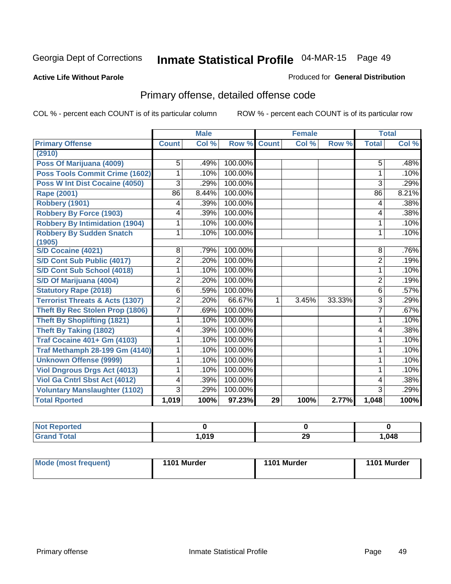#### **Active Life Without Parole**

#### Produced for **General Distribution**

### Primary offense, detailed offense code

|                                            |                | <b>Male</b> |         | <b>Female</b> |       |        | <b>Total</b>   |       |
|--------------------------------------------|----------------|-------------|---------|---------------|-------|--------|----------------|-------|
| <b>Primary Offense</b>                     | <b>Count</b>   | Col %       | Row %   | <b>Count</b>  | Col % | Row %  | <b>Total</b>   | Col % |
| (2910)                                     |                |             |         |               |       |        |                |       |
| Poss Of Marijuana (4009)                   | 5              | .49%        | 100.00% |               |       |        | 5              | .48%  |
| Poss Tools Commit Crime (1602)             | 1              | .10%        | 100.00% |               |       |        | 1              | .10%  |
| Poss W Int Dist Cocaine (4050)             | 3              | .29%        | 100.00% |               |       |        | 3              | .29%  |
| Rape (2001)                                | 86             | 8.44%       | 100.00% |               |       |        | 86             | 8.21% |
| Robbery (1901)                             | 4              | .39%        | 100.00% |               |       |        | 4              | .38%  |
| <b>Robbery By Force (1903)</b>             | 4              | .39%        | 100.00% |               |       |        | 4              | .38%  |
| <b>Robbery By Intimidation (1904)</b>      | 1              | .10%        | 100.00% |               |       |        | 1              | .10%  |
| <b>Robbery By Sudden Snatch</b>            | 1              | .10%        | 100.00% |               |       |        | 1              | .10%  |
| (1905)                                     |                |             |         |               |       |        |                |       |
| S/D Cocaine (4021)                         | 8              | .79%        | 100.00% |               |       |        | 8              | .76%  |
| S/D Cont Sub Public (4017)                 | $\overline{2}$ | .20%        | 100.00% |               |       |        | $\overline{2}$ | .19%  |
| S/D Cont Sub School (4018)                 | 1              | .10%        | 100.00% |               |       |        | 1              | .10%  |
| S/D Of Marijuana (4004)                    | 2              | .20%        | 100.00% |               |       |        | $\overline{2}$ | .19%  |
| <b>Statutory Rape (2018)</b>               | 6              | .59%        | 100.00% |               |       |        | 6              | .57%  |
| <b>Terrorist Threats &amp; Acts (1307)</b> | $\overline{2}$ | .20%        | 66.67%  | 1             | 3.45% | 33.33% | 3              | .29%  |
| <b>Theft By Rec Stolen Prop (1806)</b>     | 7              | .69%        | 100.00% |               |       |        | 7              | .67%  |
| <b>Theft By Shoplifting (1821)</b>         | 1              | .10%        | 100.00% |               |       |        | 1              | .10%  |
| <b>Theft By Taking (1802)</b>              | 4              | .39%        | 100.00% |               |       |        | 4              | .38%  |
| <b>Traf Cocaine 401+ Gm (4103)</b>         | 1              | .10%        | 100.00% |               |       |        | 1              | .10%  |
| <b>Traf Methamph 28-199 Gm (4140)</b>      | 1              | .10%        | 100.00% |               |       |        | 1              | .10%  |
| <b>Unknown Offense (9999)</b>              | 1              | .10%        | 100.00% |               |       |        | 1              | .10%  |
| <b>Viol Dngrous Drgs Act (4013)</b>        | 1              | .10%        | 100.00% |               |       |        | 1              | .10%  |
| Viol Ga Cntrl Sbst Act (4012)              | 4              | .39%        | 100.00% |               |       |        | 4              | .38%  |
| <b>Voluntary Manslaughter (1102)</b>       | $\overline{3}$ | .29%        | 100.00% |               |       |        | $\overline{3}$ | .29%  |
| <b>Total Rported</b>                       | 1,019          | 100%        | 97.23%  | 29            | 100%  | 2.77%  | 1,048          | 100%  |

| <b>No</b><br><b>Anorted</b><br>мен |         |     |       |
|------------------------------------|---------|-----|-------|
| <b>Total</b>                       | 01 Q    | nr. | 1,048 |
| ⊤ Croni                            | . U I J | ∠খ  |       |

| Mode (most frequent) | 1101 Murder | 1101 Murder | 1101 Murder |
|----------------------|-------------|-------------|-------------|
|                      |             |             |             |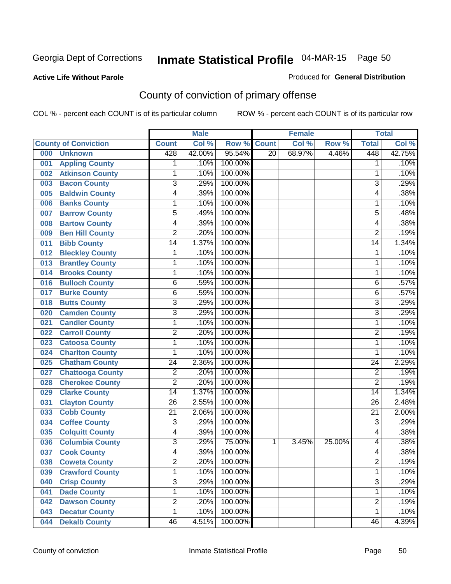#### **Active Life Without Parole**

#### Produced for **General Distribution**

### County of conviction of primary offense

|     |                             |                         | <b>Male</b> |         |                 | Female |        |                 | <b>Total</b> |
|-----|-----------------------------|-------------------------|-------------|---------|-----------------|--------|--------|-----------------|--------------|
|     | <b>County of Conviction</b> | <b>Count</b>            | Col %       | Row %   | <b>Count</b>    | Col %  | Row %  | <b>Total</b>    | Col %        |
| 000 | <b>Unknown</b>              | 428                     | 42.00%      | 95.54%  | $\overline{20}$ | 68.97% | 4.46%  | 448             | 42.75%       |
| 001 | <b>Appling County</b>       | 1                       | .10%        | 100.00% |                 |        |        | 1               | .10%         |
| 002 | <b>Atkinson County</b>      | 1                       | .10%        | 100.00% |                 |        |        | 1               | .10%         |
| 003 | <b>Bacon County</b>         | $\overline{3}$          | .29%        | 100.00% |                 |        |        | $\overline{3}$  | .29%         |
| 005 | <b>Baldwin County</b>       | 4                       | .39%        | 100.00% |                 |        |        | 4               | .38%         |
| 006 | <b>Banks County</b>         | 1                       | .10%        | 100.00% |                 |        |        | 1               | .10%         |
| 007 | <b>Barrow County</b>        | $\overline{5}$          | .49%        | 100.00% |                 |        |        | 5               | .48%         |
| 008 | <b>Bartow County</b>        | 4                       | .39%        | 100.00% |                 |        |        | 4               | .38%         |
| 009 | <b>Ben Hill County</b>      | $\overline{2}$          | .20%        | 100.00% |                 |        |        | $\overline{2}$  | .19%         |
| 011 | <b>Bibb County</b>          | $\overline{14}$         | 1.37%       | 100.00% |                 |        |        | $\overline{14}$ | 1.34%        |
| 012 | <b>Bleckley County</b>      | 1                       | .10%        | 100.00% |                 |        |        | 1               | .10%         |
| 013 | <b>Brantley County</b>      | 1                       | .10%        | 100.00% |                 |        |        | 1               | .10%         |
| 014 | <b>Brooks County</b>        | 1                       | .10%        | 100.00% |                 |        |        | 1               | .10%         |
| 016 | <b>Bulloch County</b>       | 6                       | .59%        | 100.00% |                 |        |        | 6               | .57%         |
| 017 | <b>Burke County</b>         | $\overline{6}$          | .59%        | 100.00% |                 |        |        | 6               | .57%         |
| 018 | <b>Butts County</b>         | $\overline{3}$          | .29%        | 100.00% |                 |        |        | $\overline{3}$  | .29%         |
| 020 | <b>Camden County</b>        | $\overline{\mathbf{3}}$ | .29%        | 100.00% |                 |        |        | $\overline{3}$  | .29%         |
| 021 | <b>Candler County</b>       | 1                       | .10%        | 100.00% |                 |        |        | 1               | .10%         |
| 022 | <b>Carroll County</b>       | $\overline{2}$          | .20%        | 100.00% |                 |        |        | $\overline{2}$  | .19%         |
| 023 | <b>Catoosa County</b>       | 1                       | .10%        | 100.00% |                 |        |        | 1               | .10%         |
| 024 | <b>Charlton County</b>      | 1                       | .10%        | 100.00% |                 |        |        | 1               | .10%         |
| 025 | <b>Chatham County</b>       | $\overline{24}$         | 2.36%       | 100.00% |                 |        |        | $\overline{24}$ | 2.29%        |
| 027 | <b>Chattooga County</b>     | $\overline{2}$          | .20%        | 100.00% |                 |        |        | $\overline{2}$  | .19%         |
| 028 | <b>Cherokee County</b>      | $\overline{2}$          | .20%        | 100.00% |                 |        |        | $\overline{2}$  | .19%         |
| 029 | <b>Clarke County</b>        | $\overline{14}$         | 1.37%       | 100.00% |                 |        |        | 14              | 1.34%        |
| 031 | <b>Clayton County</b>       | $\overline{26}$         | 2.55%       | 100.00% |                 |        |        | $\overline{26}$ | 2.48%        |
| 033 | <b>Cobb County</b>          | $\overline{21}$         | 2.06%       | 100.00% |                 |        |        | $\overline{21}$ | 2.00%        |
| 034 | <b>Coffee County</b>        | 3                       | .29%        | 100.00% |                 |        |        | 3               | .29%         |
| 035 | <b>Colquitt County</b>      | 4                       | .39%        | 100.00% |                 |        |        | 4               | .38%         |
| 036 | <b>Columbia County</b>      | $\overline{3}$          | .29%        | 75.00%  | 1               | 3.45%  | 25.00% | 4               | .38%         |
| 037 | <b>Cook County</b>          | 4                       | .39%        | 100.00% |                 |        |        | 4               | .38%         |
| 038 | <b>Coweta County</b>        | 2                       | .20%        | 100.00% |                 |        |        | 2               | .19%         |
| 039 | <b>Crawford County</b>      | 1                       | .10%        | 100.00% |                 |        |        | 1               | .10%         |
| 040 | <b>Crisp County</b>         | $\overline{3}$          | .29%        | 100.00% |                 |        |        | $\overline{3}$  | .29%         |
| 041 | <b>Dade County</b>          | 1                       | .10%        | 100.00% |                 |        |        | $\mathbf{1}$    | .10%         |
| 042 | <b>Dawson County</b>        | $\overline{2}$          | .20%        | 100.00% |                 |        |        | $\overline{2}$  | .19%         |
| 043 | <b>Decatur County</b>       | 1                       | .10%        | 100.00% |                 |        |        | 1               | .10%         |
| 044 | <b>Dekalb County</b>        | $\overline{46}$         | 4.51%       | 100.00% |                 |        |        | $\overline{46}$ | 4.39%        |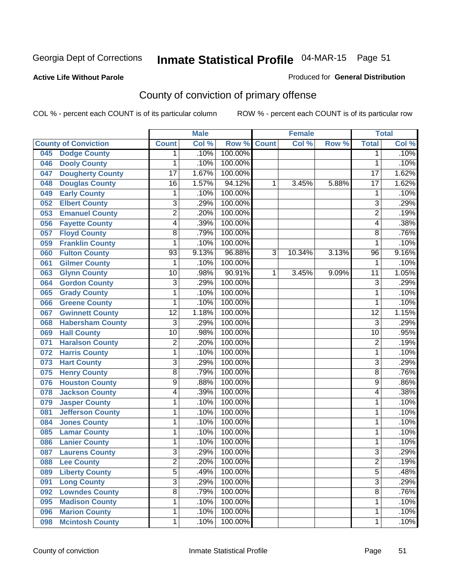#### **Active Life Without Parole**

#### Produced for **General Distribution**

### County of conviction of primary offense

|     |                             |                 | <b>Male</b> |         |                | <b>Female</b> |       |                 | <b>Total</b>               |
|-----|-----------------------------|-----------------|-------------|---------|----------------|---------------|-------|-----------------|----------------------------|
|     | <b>County of Conviction</b> | <b>Count</b>    | Col %       | Row %   | <b>Count</b>   | Col %         | Row % | <b>Total</b>    | $\overline{\text{Col }\%}$ |
| 045 | <b>Dodge County</b>         | 1               | .10%        | 100.00% |                |               |       | 1               | .10%                       |
| 046 | <b>Dooly County</b>         | 1               | .10%        | 100.00% |                |               |       | $\mathbf{1}$    | .10%                       |
| 047 | <b>Dougherty County</b>     | $\overline{17}$ | 1.67%       | 100.00% |                |               |       | $\overline{17}$ | 1.62%                      |
| 048 | <b>Douglas County</b>       | $\overline{16}$ | 1.57%       | 94.12%  | 1              | 3.45%         | 5.88% | $\overline{17}$ | 1.62%                      |
| 049 | <b>Early County</b>         | 1               | .10%        | 100.00% |                |               |       | 1               | .10%                       |
| 052 | <b>Elbert County</b>        | $\overline{3}$  | .29%        | 100.00% |                |               |       | $\overline{3}$  | .29%                       |
| 053 | <b>Emanuel County</b>       | $\overline{2}$  | .20%        | 100.00% |                |               |       | $\overline{2}$  | .19%                       |
| 056 | <b>Fayette County</b>       | $\overline{4}$  | .39%        | 100.00% |                |               |       | 4               | .38%                       |
| 057 | <b>Floyd County</b>         | 8               | .79%        | 100.00% |                |               |       | 8               | .76%                       |
| 059 | <b>Franklin County</b>      | 1               | .10%        | 100.00% |                |               |       | 1               | .10%                       |
| 060 | <b>Fulton County</b>        | $\overline{93}$ | 9.13%       | 96.88%  | $\overline{3}$ | 10.34%        | 3.13% | 96              | 9.16%                      |
| 061 | <b>Gilmer County</b>        | 1               | .10%        | 100.00% |                |               |       | 1               | .10%                       |
| 063 | <b>Glynn County</b>         | $\overline{10}$ | .98%        | 90.91%  | 1              | 3.45%         | 9.09% | $\overline{11}$ | 1.05%                      |
| 064 | <b>Gordon County</b>        | $\overline{3}$  | .29%        | 100.00% |                |               |       | $\overline{3}$  | .29%                       |
| 065 | <b>Grady County</b>         | 1               | .10%        | 100.00% |                |               |       | 1               | .10%                       |
| 066 | <b>Greene County</b>        | 1               | .10%        | 100.00% |                |               |       | 1               | .10%                       |
| 067 | <b>Gwinnett County</b>      | $\overline{12}$ | 1.18%       | 100.00% |                |               |       | $\overline{12}$ | 1.15%                      |
| 068 | <b>Habersham County</b>     | $\overline{3}$  | .29%        | 100.00% |                |               |       | $\overline{3}$  | .29%                       |
| 069 | <b>Hall County</b>          | $\overline{10}$ | .98%        | 100.00% |                |               |       | $\overline{10}$ | .95%                       |
| 071 | <b>Haralson County</b>      | $\overline{2}$  | .20%        | 100.00% |                |               |       | $\overline{2}$  | .19%                       |
| 072 | <b>Harris County</b>        | 1               | .10%        | 100.00% |                |               |       | 1               | .10%                       |
| 073 | <b>Hart County</b>          | $\overline{3}$  | .29%        | 100.00% |                |               |       | $\overline{3}$  | .29%                       |
| 075 | <b>Henry County</b>         | $\overline{8}$  | .79%        | 100.00% |                |               |       | 8               | .76%                       |
| 076 | <b>Houston County</b>       | $\overline{9}$  | .88%        | 100.00% |                |               |       | 9               | .86%                       |
| 078 | <b>Jackson County</b>       | 4               | .39%        | 100.00% |                |               |       | 4               | .38%                       |
| 079 | <b>Jasper County</b>        | 1               | .10%        | 100.00% |                |               |       | 1               | .10%                       |
| 081 | <b>Jefferson County</b>     | 1               | .10%        | 100.00% |                |               |       | 1               | .10%                       |
| 084 | <b>Jones County</b>         | 1               | .10%        | 100.00% |                |               |       | 1               | .10%                       |
| 085 | <b>Lamar County</b>         | 1               | .10%        | 100.00% |                |               |       | 1               | .10%                       |
| 086 | <b>Lanier County</b>        | 1               | .10%        | 100.00% |                |               |       | $\mathbf{1}$    | .10%                       |
| 087 | <b>Laurens County</b>       | $\overline{3}$  | .29%        | 100.00% |                |               |       | $\overline{3}$  | .29%                       |
| 088 | <b>Lee County</b>           | 2               | .20%        | 100.00% |                |               |       | 2               | .19%                       |
| 089 | <b>Liberty County</b>       | $\overline{5}$  | .49%        | 100.00% |                |               |       | $\overline{5}$  | .48%                       |
| 091 | <b>Long County</b>          | $\overline{3}$  | .29%        | 100.00% |                |               |       | $\overline{3}$  | .29%                       |
| 092 | <b>Lowndes County</b>       | $\overline{8}$  | .79%        | 100.00% |                |               |       | $\overline{8}$  | .76%                       |
| 095 | <b>Madison County</b>       | 1               | .10%        | 100.00% |                |               |       | 1               | .10%                       |
| 096 | <b>Marion County</b>        | 1               | .10%        | 100.00% |                |               |       | 1               | .10%                       |
| 098 | <b>Mcintosh County</b>      | 1               | .10%        | 100.00% |                |               |       | 1               | .10%                       |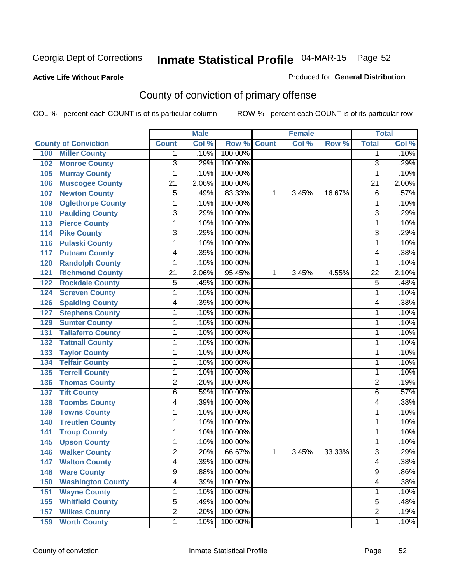#### **Active Life Without Parole**

#### Produced for **General Distribution**

### County of conviction of primary offense

|                                 |                 | <b>Male</b> |         | <b>Female</b> |       |        | <b>Total</b>    |                            |
|---------------------------------|-----------------|-------------|---------|---------------|-------|--------|-----------------|----------------------------|
| <b>County of Conviction</b>     | <b>Count</b>    | Col %       | Row %   | <b>Count</b>  | Col % | Row %  | <b>Total</b>    | $\overline{\text{Col }^9}$ |
| <b>Miller County</b><br>100     | 1               | .10%        | 100.00% |               |       |        | 1               | .10%                       |
| <b>Monroe County</b><br>102     | $\overline{3}$  | .29%        | 100.00% |               |       |        | $\overline{3}$  | .29%                       |
| <b>Murray County</b><br>105     | 1               | .10%        | 100.00% |               |       |        | 1               | .10%                       |
| <b>Muscogee County</b><br>106   | $\overline{21}$ | 2.06%       | 100.00% |               |       |        | $\overline{21}$ | 2.00%                      |
| <b>Newton County</b><br>107     | 5               | .49%        | 83.33%  | 1             | 3.45% | 16.67% | 6               | .57%                       |
| <b>Oglethorpe County</b><br>109 | 1               | .10%        | 100.00% |               |       |        | 1               | .10%                       |
| <b>Paulding County</b><br>110   | $\overline{3}$  | .29%        | 100.00% |               |       |        | $\overline{3}$  | .29%                       |
| <b>Pierce County</b><br>113     | 1               | .10%        | 100.00% |               |       |        | 1               | .10%                       |
| <b>Pike County</b><br>114       | $\overline{3}$  | .29%        | 100.00% |               |       |        | $\overline{3}$  | .29%                       |
| <b>Pulaski County</b><br>116    | 1               | .10%        | 100.00% |               |       |        | 1               | .10%                       |
| <b>Putnam County</b><br>117     | 4               | .39%        | 100.00% |               |       |        | 4               | .38%                       |
| <b>Randolph County</b><br>120   | 1               | .10%        | 100.00% |               |       |        | 1               | .10%                       |
| <b>Richmond County</b><br>121   | $\overline{21}$ | 2.06%       | 95.45%  | 1             | 3.45% | 4.55%  | $\overline{22}$ | 2.10%                      |
| <b>Rockdale County</b><br>122   | 5               | .49%        | 100.00% |               |       |        | 5               | .48%                       |
| <b>Screven County</b><br>124    | 1               | .10%        | 100.00% |               |       |        | 1               | .10%                       |
| <b>Spalding County</b><br>126   | 4               | .39%        | 100.00% |               |       |        | 4               | .38%                       |
| <b>Stephens County</b><br>127   | 1               | .10%        | 100.00% |               |       |        | 1               | .10%                       |
| <b>Sumter County</b><br>129     | 1               | .10%        | 100.00% |               |       |        | 1               | .10%                       |
| <b>Taliaferro County</b><br>131 | 1               | .10%        | 100.00% |               |       |        | 1               | .10%                       |
| <b>Tattnall County</b><br>132   | 1               | .10%        | 100.00% |               |       |        | 1               | .10%                       |
| <b>Taylor County</b><br>133     | 1               | .10%        | 100.00% |               |       |        | 1               | .10%                       |
| <b>Telfair County</b><br>134    | 1               | .10%        | 100.00% |               |       |        | 1               | .10%                       |
| <b>Terrell County</b><br>135    | 1               | .10%        | 100.00% |               |       |        | 1               | .10%                       |
| <b>Thomas County</b><br>136     | $\overline{2}$  | .20%        | 100.00% |               |       |        | $\overline{2}$  | .19%                       |
| <b>Tift County</b><br>137       | $\overline{6}$  | .59%        | 100.00% |               |       |        | 6               | .57%                       |
| <b>Toombs County</b><br>138     | 4               | .39%        | 100.00% |               |       |        | 4               | .38%                       |
| <b>Towns County</b><br>139      | 1               | .10%        | 100.00% |               |       |        | 1               | .10%                       |
| <b>Treutlen County</b><br>140   | 1               | .10%        | 100.00% |               |       |        | 1               | .10%                       |
| <b>Troup County</b><br>141      | 1               | .10%        | 100.00% |               |       |        | 1               | .10%                       |
| <b>Upson County</b><br>145      | 1               | .10%        | 100.00% |               |       |        | 1               | .10%                       |
| <b>Walker County</b><br>146     | $\overline{2}$  | .20%        | 66.67%  | 1             | 3.45% | 33.33% | $\overline{3}$  | .29%                       |
| 147<br><b>Walton County</b>     | $\overline{4}$  | .39%        | 100.00% |               |       |        | 4               | .38%                       |
| <b>Ware County</b><br>148       | $\overline{9}$  | .88%        | 100.00% |               |       |        | $\overline{9}$  | .86%                       |
| <b>Washington County</b><br>150 | 4               | .39%        | 100.00% |               |       |        | 4               | .38%                       |
| <b>Wayne County</b><br>151      | 1               | .10%        | 100.00% |               |       |        | $\mathbf{1}$    | .10%                       |
| <b>Whitfield County</b><br>155  | $\overline{5}$  | .49%        | 100.00% |               |       |        | $\overline{5}$  | .48%                       |
| <b>Wilkes County</b><br>157     | $\overline{2}$  | .20%        | 100.00% |               |       |        | $\overline{2}$  | .19%                       |
| <b>Worth County</b><br>159      | 1               | .10%        | 100.00% |               |       |        | 1               | .10%                       |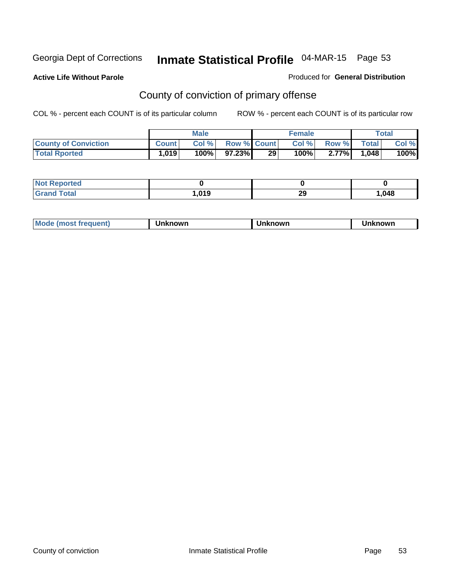**Active Life Without Parole** 

Produced for **General Distribution**

### County of conviction of primary offense

|                             | <b>Male</b>  |       |                    | <b>Female</b>   |       |              | Total        |       |
|-----------------------------|--------------|-------|--------------------|-----------------|-------|--------------|--------------|-------|
| <b>County of Conviction</b> | <b>Count</b> | Col % | <b>Row % Count</b> |                 | Col % | <b>Row %</b> | <b>Total</b> | Col % |
| <b>Total Rported</b>        | 1,019        | 100%  | 97.23%             | 29 <sup>°</sup> | 100%  | $2.77\%$     | 1,048        | 100%  |

| Reported<br>' NOT |      |          |      |
|-------------------|------|----------|------|
| <b>Total</b>      | .019 | າເ<br>23 | .048 |

| <b>Mode (most frequent)</b> | Unknown | Unknown | Unknown |
|-----------------------------|---------|---------|---------|
|-----------------------------|---------|---------|---------|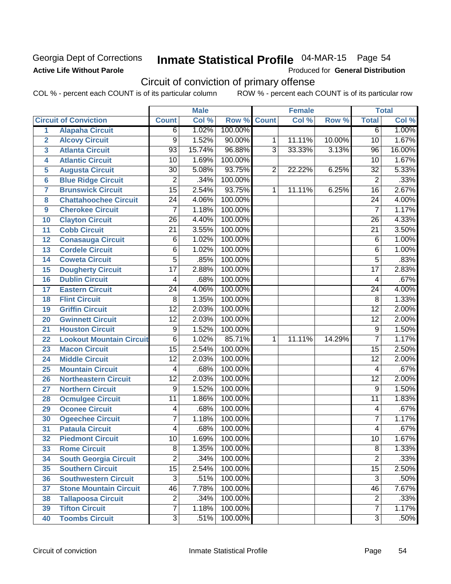**Active Life Without Parole** 

Produced for **General Distribution**

### Circuit of conviction of primary offense

|                         |                                 |                 | <b>Male</b> |                  |                | <b>Female</b> |        |                 | <b>Total</b> |
|-------------------------|---------------------------------|-----------------|-------------|------------------|----------------|---------------|--------|-----------------|--------------|
|                         | <b>Circuit of Conviction</b>    | <b>Count</b>    | Col %       | Row <sup>%</sup> | <b>Count</b>   | Col %         | Row %  | <b>Total</b>    | Col %        |
| 1                       | <b>Alapaha Circuit</b>          | 6               | 1.02%       | 100.00%          |                |               |        | 6               | 1.00%        |
| $\overline{2}$          | <b>Alcovy Circuit</b>           | 9               | 1.52%       | 90.00%           | 1              | 11.11%        | 10.00% | 10              | 1.67%        |
| $\overline{\mathbf{3}}$ | <b>Atlanta Circuit</b>          | $\overline{93}$ | 15.74%      | 96.88%           | $\overline{3}$ | 33.33%        | 3.13%  | $\overline{96}$ | 16.00%       |
| 4                       | <b>Atlantic Circuit</b>         | $\overline{10}$ | 1.69%       | 100.00%          |                |               |        | 10              | 1.67%        |
| 5                       | <b>Augusta Circuit</b>          | 30              | 5.08%       | 93.75%           | $\overline{2}$ | 22.22%        | 6.25%  | 32              | 5.33%        |
| 6                       | <b>Blue Ridge Circuit</b>       | $\overline{2}$  | .34%        | 100.00%          |                |               |        | $\overline{2}$  | .33%         |
| $\overline{7}$          | <b>Brunswick Circuit</b>        | $\overline{15}$ | 2.54%       | 93.75%           | 1              | 11.11%        | 6.25%  | $\overline{16}$ | 2.67%        |
| 8                       | <b>Chattahoochee Circuit</b>    | $\overline{24}$ | 4.06%       | 100.00%          |                |               |        | $\overline{24}$ | 4.00%        |
| $\boldsymbol{9}$        | <b>Cherokee Circuit</b>         | $\overline{7}$  | 1.18%       | 100.00%          |                |               |        | $\overline{7}$  | 1.17%        |
| 10                      | <b>Clayton Circuit</b>          | 26              | 4.40%       | 100.00%          |                |               |        | 26              | 4.33%        |
| 11                      | <b>Cobb Circuit</b>             | $\overline{21}$ | 3.55%       | 100.00%          |                |               |        | $\overline{21}$ | 3.50%        |
| 12                      | <b>Conasauga Circuit</b>        | 6               | 1.02%       | 100.00%          |                |               |        | 6               | 1.00%        |
| 13                      | <b>Cordele Circuit</b>          | 6               | 1.02%       | 100.00%          |                |               |        | 6               | 1.00%        |
| 14                      | <b>Coweta Circuit</b>           | $\overline{5}$  | .85%        | 100.00%          |                |               |        | $\overline{5}$  | .83%         |
| 15                      | <b>Dougherty Circuit</b>        | $\overline{17}$ | 2.88%       | 100.00%          |                |               |        | $\overline{17}$ | 2.83%        |
| 16                      | <b>Dublin Circuit</b>           | 4               | .68%        | 100.00%          |                |               |        | 4               | .67%         |
| 17                      | <b>Eastern Circuit</b>          | $\overline{24}$ | 4.06%       | 100.00%          |                |               |        | 24              | 4.00%        |
| 18                      | <b>Flint Circuit</b>            | 8               | 1.35%       | 100.00%          |                |               |        | $\overline{8}$  | 1.33%        |
| 19                      | <b>Griffin Circuit</b>          | $\overline{12}$ | 2.03%       | 100.00%          |                |               |        | $\overline{12}$ | 2.00%        |
| 20                      | <b>Gwinnett Circuit</b>         | $\overline{12}$ | 2.03%       | 100.00%          |                |               |        | $\overline{12}$ | 2.00%        |
| 21                      | <b>Houston Circuit</b>          | 9               | 1.52%       | 100.00%          |                |               |        | 9               | 1.50%        |
| 22                      | <b>Lookout Mountain Circuit</b> | $\overline{6}$  | 1.02%       | 85.71%           | $\mathbf{1}$   | 11.11%        | 14.29% | $\overline{7}$  | 1.17%        |
| 23                      | <b>Macon Circuit</b>            | $\overline{15}$ | 2.54%       | 100.00%          |                |               |        | $\overline{15}$ | 2.50%        |
| 24                      | <b>Middle Circuit</b>           | $\overline{12}$ | 2.03%       | 100.00%          |                |               |        | $\overline{12}$ | 2.00%        |
| 25                      | <b>Mountain Circuit</b>         | 4               | .68%        | 100.00%          |                |               |        | 4               | .67%         |
| 26                      | <b>Northeastern Circuit</b>     | $\overline{12}$ | 2.03%       | 100.00%          |                |               |        | $\overline{12}$ | 2.00%        |
| 27                      | <b>Northern Circuit</b>         | 9               | 1.52%       | 100.00%          |                |               |        | 9               | 1.50%        |
| 28                      | <b>Ocmulgee Circuit</b>         | $\overline{11}$ | 1.86%       | 100.00%          |                |               |        | $\overline{11}$ | 1.83%        |
| 29                      | <b>Oconee Circuit</b>           | 4               | .68%        | 100.00%          |                |               |        | 4               | .67%         |
| 30                      | <b>Ogeechee Circuit</b>         | 7               | 1.18%       | 100.00%          |                |               |        | $\overline{7}$  | 1.17%        |
| 31                      | <b>Pataula Circuit</b>          | 4               | .68%        | 100.00%          |                |               |        | 4               | .67%         |
| $\overline{32}$         | <b>Piedmont Circuit</b>         | $\overline{10}$ | 1.69%       | 100.00%          |                |               |        | $\overline{10}$ | 1.67%        |
| 33                      | <b>Rome Circuit</b>             | 8               | 1.35%       | 100.00%          |                |               |        | 8               | 1.33%        |
| 34                      | <b>South Georgia Circuit</b>    | $\overline{2}$  | .34%        | 100.00%          |                |               |        | $\overline{2}$  | .33%         |
| 35                      | <b>Southern Circuit</b>         | $\overline{15}$ | 2.54%       | 100.00%          |                |               |        | $\overline{15}$ | 2.50%        |
| 36                      | <b>Southwestern Circuit</b>     | $\overline{3}$  | .51%        | 100.00%          |                |               |        | $\overline{3}$  | .50%         |
| 37                      | <b>Stone Mountain Circuit</b>   | 46              | 7.78%       | 100.00%          |                |               |        | 46              | 7.67%        |
| 38                      | <b>Tallapoosa Circuit</b>       | $\overline{2}$  | .34%        | 100.00%          |                |               |        | $\overline{2}$  | .33%         |
| 39                      | <b>Tifton Circuit</b>           | $\overline{7}$  | 1.18%       | 100.00%          |                |               |        | 7               | 1.17%        |
| 40                      | <b>Toombs Circuit</b>           | $\overline{3}$  | .51%        | 100.00%          |                |               |        | $\overline{3}$  | .50%         |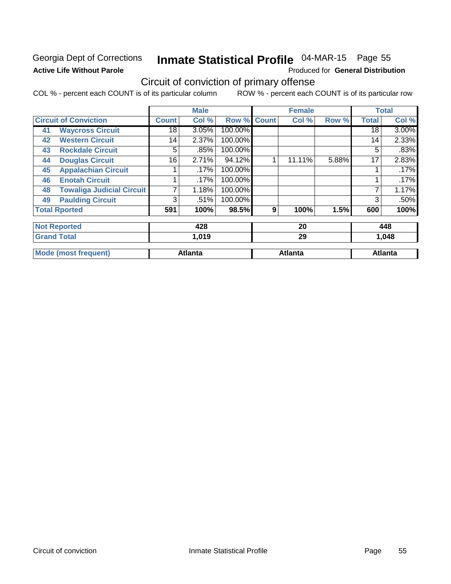# **Active Life Without Parole**

## Georgia Dept of Corrections **Inmate Statistical Profile** 04-MAR-15 Page 55

Produced for **General Distribution**

### Circuit of conviction of primary offense

|    |                                  |              | <b>Male</b>    |         |              | <b>Female</b>  |       |              | <b>Total</b>   |
|----|----------------------------------|--------------|----------------|---------|--------------|----------------|-------|--------------|----------------|
|    | <b>Circuit of Conviction</b>     | <b>Count</b> | Col %          | Row %   | <b>Count</b> | Col %          | Row % | <b>Total</b> | Col %          |
| 41 | <b>Waycross Circuit</b>          | 18           | 3.05%          | 100.00% |              |                |       | 18           | $3.00\%$       |
| 42 | <b>Western Circuit</b>           | 14           | 2.37%          | 100.00% |              |                |       | 14           | 2.33%          |
| 43 | <b>Rockdale Circuit</b>          | 5            | .85%           | 100.00% |              |                |       | 5            | .83%           |
| 44 | <b>Douglas Circuit</b>           | 16           | 2.71%          | 94.12%  |              | 11.11%         | 5.88% | 17           | 2.83%          |
| 45 | <b>Appalachian Circuit</b>       |              | .17%           | 100.00% |              |                |       |              | .17%           |
| 46 | <b>Enotah Circuit</b>            |              | .17%           | 100.00% |              |                |       |              | .17%           |
| 48 | <b>Towaliga Judicial Circuit</b> | 7            | 1.18%          | 100.00% |              |                |       | 7            | 1.17%          |
| 49 | <b>Paulding Circuit</b>          | 3            | .51%           | 100.00% |              |                |       | 3            | .50%           |
|    | <b>Total Rported</b>             | 591          | 100%           | 98.5%   | 9            | 100%           | 1.5%  | 600          | 100%           |
|    | <b>Not Reported</b>              |              | 428            |         |              | 20             |       |              | 448            |
|    | <b>Grand Total</b>               |              | 1,019          |         |              | 29             |       |              | 1,048          |
|    | <b>Mode (most frequent)</b>      |              | <b>Atlanta</b> |         |              | <b>Atlanta</b> |       |              | <b>Atlanta</b> |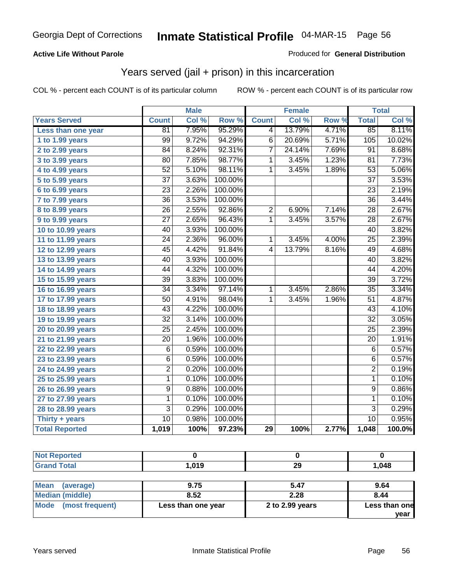#### **Active Life Without Parole**

#### Produced for **General Distribution**

### Years served (jail + prison) in this incarceration

|                       |                 | <b>Male</b> |         |                | <b>Female</b> |                  |                 | <b>Total</b> |
|-----------------------|-----------------|-------------|---------|----------------|---------------|------------------|-----------------|--------------|
| <b>Years Served</b>   | <b>Count</b>    | Col %       | Row %   | <b>Count</b>   | Col %         | Row <sup>7</sup> | <b>Total</b>    | Col %        |
| Less than one year    | 81              | 7.95%       | 95.29%  | 4              | 13.79%        | 4.71%            | 85              | 8.11%        |
| 1 to 1.99 years       | 99              | 9.72%       | 94.29%  | $\overline{6}$ | 20.69%        | 5.71%            | 105             | 10.02%       |
| 2 to 2.99 years       | 84              | 8.24%       | 92.31%  | 7              | 24.14%        | 7.69%            | $\overline{91}$ | 8.68%        |
| 3 to 3.99 years       | 80              | 7.85%       | 98.77%  | 1              | 3.45%         | 1.23%            | 81              | 7.73%        |
| 4 to 4.99 years       | $\overline{52}$ | 5.10%       | 98.11%  | $\mathbf{1}$   | 3.45%         | 1.89%            | $\overline{53}$ | 5.06%        |
| 5 to 5.99 years       | $\overline{37}$ | 3.63%       | 100.00% |                |               |                  | $\overline{37}$ | 3.53%        |
| 6 to 6.99 years       | $\overline{23}$ | 2.26%       | 100.00% |                |               |                  | $\overline{23}$ | 2.19%        |
| 7 to 7.99 years       | $\overline{36}$ | 3.53%       | 100.00% |                |               |                  | $\overline{36}$ | 3.44%        |
| 8 to 8.99 years       | $\overline{26}$ | 2.55%       | 92.86%  | $\overline{2}$ | 6.90%         | 7.14%            | $\overline{28}$ | 2.67%        |
| 9 to 9.99 years       | $\overline{27}$ | 2.65%       | 96.43%  | $\overline{1}$ | 3.45%         | 3.57%            | $\overline{28}$ | 2.67%        |
| 10 to 10.99 years     | $\overline{40}$ | 3.93%       | 100.00% |                |               |                  | $\overline{40}$ | 3.82%        |
| 11 to 11.99 years     | $\overline{24}$ | 2.36%       | 96.00%  | 1              | 3.45%         | 4.00%            | $\overline{25}$ | 2.39%        |
| 12 to 12.99 years     | $\overline{45}$ | 4.42%       | 91.84%  | $\overline{4}$ | 13.79%        | 8.16%            | 49              | 4.68%        |
| 13 to 13.99 years     | $\overline{40}$ | 3.93%       | 100.00% |                |               |                  | $\overline{40}$ | 3.82%        |
| 14 to 14.99 years     | $\overline{44}$ | 4.32%       | 100.00% |                |               |                  | 44              | 4.20%        |
| 15 to 15.99 years     | $\overline{39}$ | 3.83%       | 100.00% |                |               |                  | $\overline{39}$ | 3.72%        |
| 16 to 16.99 years     | $\overline{34}$ | 3.34%       | 97.14%  | 1              | 3.45%         | 2.86%            | $\overline{35}$ | 3.34%        |
| 17 to 17.99 years     | $\overline{50}$ | 4.91%       | 98.04%  | 1              | 3.45%         | 1.96%            | $\overline{51}$ | 4.87%        |
| 18 to 18.99 years     | 43              | 4.22%       | 100.00% |                |               |                  | 43              | 4.10%        |
| 19 to 19.99 years     | $\overline{32}$ | 3.14%       | 100.00% |                |               |                  | $\overline{32}$ | 3.05%        |
| 20 to 20.99 years     | $\overline{25}$ | 2.45%       | 100.00% |                |               |                  | $\overline{25}$ | 2.39%        |
| 21 to 21.99 years     | $\overline{20}$ | 1.96%       | 100.00% |                |               |                  | $\overline{20}$ | 1.91%        |
| 22 to 22.99 years     | 6               | 0.59%       | 100.00% |                |               |                  | 6               | 0.57%        |
| 23 to 23.99 years     | 6               | 0.59%       | 100.00% |                |               |                  | $\overline{6}$  | 0.57%        |
| 24 to 24.99 years     | $\overline{2}$  | 0.20%       | 100.00% |                |               |                  | $\overline{2}$  | 0.19%        |
| 25 to 25.99 years     | $\mathbf{1}$    | 0.10%       | 100.00% |                |               |                  | $\mathbf{1}$    | 0.10%        |
| 26 to 26.99 years     | $\overline{9}$  | 0.88%       | 100.00% |                |               |                  | $\overline{9}$  | 0.86%        |
| 27 to 27.99 years     | $\overline{1}$  | 0.10%       | 100.00% |                |               |                  | $\overline{1}$  | 0.10%        |
| 28 to 28.99 years     | $\overline{3}$  | 0.29%       | 100.00% |                |               |                  | $\overline{3}$  | 0.29%        |
| Thirty $+$ years      | $\overline{10}$ | 0.98%       | 100.00% |                |               |                  | $\overline{10}$ | 0.95%        |
| <b>Total Reported</b> | 1,019           | 100%        | 97.23%  | 29             | 100%          | 2.77%            | 1,048           | 100.0%       |

| <b>Not Reported</b>    |                    |                 |               |
|------------------------|--------------------|-----------------|---------------|
| <b>Grand Total</b>     | 1.019              | 29              | 1.048         |
|                        |                    |                 |               |
| Mean<br>(average)      | 9.75               | 5.47            | 9.64          |
| <b>Median (middle)</b> | 8.52               | 2.28            | 8.44          |
| Mode (most frequent)   | Less than one year | 2 to 2.99 years | Less than one |
|                        |                    |                 | year          |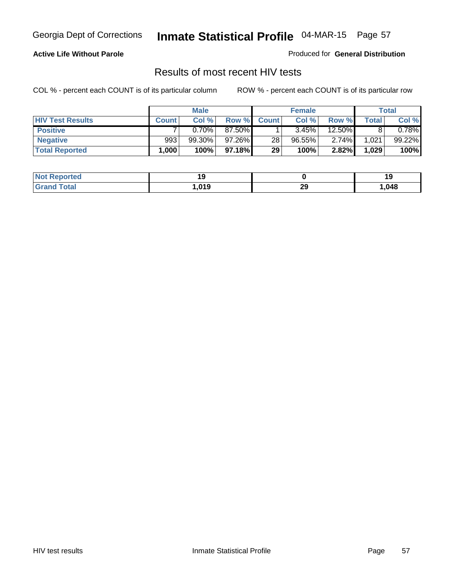#### **Active Life Without Parole**

Produced for **General Distribution**

### Results of most recent HIV tests

|                         |              | <b>Male</b> |        |              | <b>Female</b> |          |       | Total    |
|-------------------------|--------------|-------------|--------|--------------|---------------|----------|-------|----------|
| <b>HIV Test Results</b> | <b>Count</b> | Col %       | Row %  | <b>Count</b> | Col %         | Row %    | Total | Col %    |
| <b>Positive</b>         |              | 0.70%       | 87.50% |              | 3.45%         | 12.50%   |       | $0.78\%$ |
| <b>Negative</b>         | 993          | 99.30%      | 97.26% | 28           | 96.55%        | $2.74\%$ | 1,021 | 99.22%   |
| <b>Total Reported</b>   | .000         | 100%        | 97.18% | 29           | 100%          | 2.82%    | 1,029 | 100%     |

| <b>Not Reported</b>         |      |        |      |
|-----------------------------|------|--------|------|
| <b>Cotal</b><br><b>Gret</b> | .019 | ົ<br>Ψ | ,048 |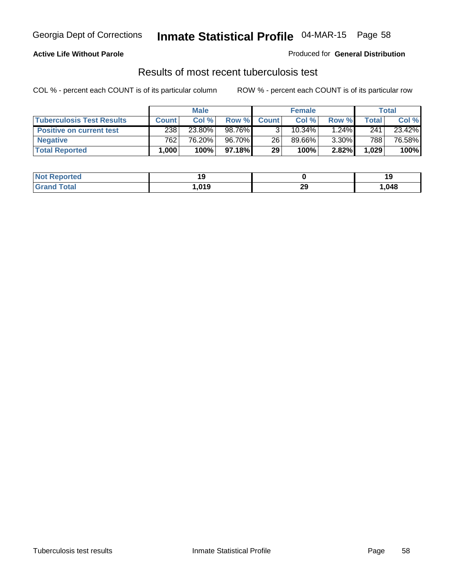#### **Active Life Without Parole**

Produced for **General Distribution**

### Results of most recent tuberculosis test

|                                  |              | <b>Male</b> |         |              | <b>Female</b> |          |       | Total  |
|----------------------------------|--------------|-------------|---------|--------------|---------------|----------|-------|--------|
| <b>Tuberculosis Test Results</b> | <b>Count</b> | Col %       | Row %   | <b>Count</b> | Col %         | Row %    | Total | Col %  |
| <b>Positive on current test</b>  | 238          | 23.80%      | 98.76%  |              | $10.34\%$     | $1.24\%$ | 241   | 23.42% |
| <b>Negative</b>                  | 762          | 76.20%      | 96.70%  | 26           | 89.66%        | $3.30\%$ | 788   | 76.58% |
| <b>Total Reported</b>            | .000         | 100%        | 97.18%I | 29           | 100%          | 2.82%    | 1,029 | 100%   |

| <b>Not Reported</b>   |      |          |      |
|-----------------------|------|----------|------|
| <b>Total</b><br>Grand | ,019 | つく<br>23 | ,048 |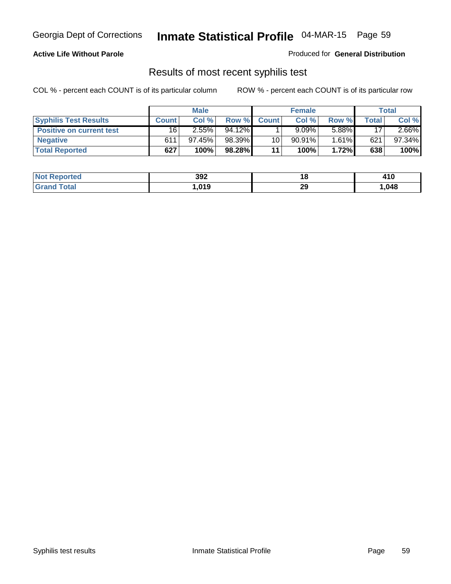#### **Active Life Without Parole**

Produced for **General Distribution**

### Results of most recent syphilis test

|                                 |              | <b>Male</b> |        |              | <b>Female</b> |       |       | Total     |
|---------------------------------|--------------|-------------|--------|--------------|---------------|-------|-------|-----------|
| <b>Syphilis Test Results</b>    | <b>Count</b> | Col %       | Row %  | <b>Count</b> | Col %         | Row % | Total | Col %     |
| <b>Positive on current test</b> | 16           | 2.55%       | 94.12% |              | 9.09%         | 5.88% | 17    | $2.66\%$  |
| <b>Negative</b>                 | 611          | 97.45%      | 98.39% | 10           | 90.91%        | 1.61% | 621   | $97.34\%$ |
| <b>Total Reported</b>           | 627          | 100%        | 98.28% | 11           | 100%          | 1.72% | 638   | 100%      |

| <b>Not Reported</b>     | 392  | . .       | 410  |
|-------------------------|------|-----------|------|
| <b>Total</b><br>' Grano | .019 | nr.<br>23 | ,048 |